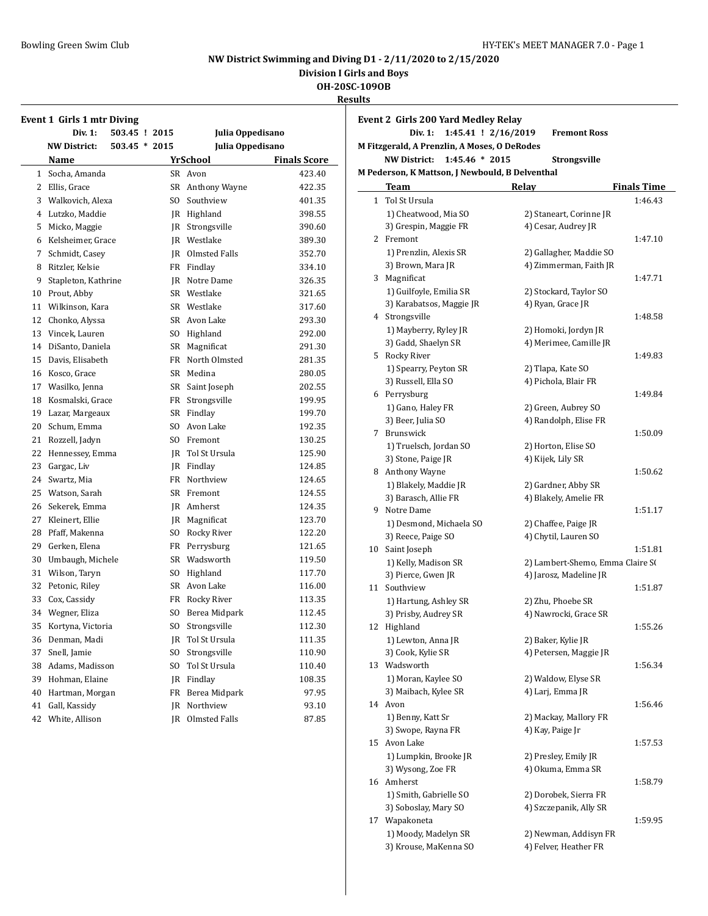**Division I Girls and Boys**

**OH-20SC-109OB**

|    |                                   |                 |                  |                     | <b>Results</b> |
|----|-----------------------------------|-----------------|------------------|---------------------|----------------|
|    | <b>Event 1 Girls 1 mtr Diving</b> |                 |                  |                     | Ev             |
|    | <b>Div. 1:</b>                    | 503.45 ! 2015   | Julia Oppedisano |                     |                |
|    | <b>NW District:</b>               | $503.45 * 2015$ | Julia Oppedisano |                     | M              |
|    | Name                              |                 | <b>YrSchool</b>  | <b>Finals Score</b> |                |
|    | 1 Socha, Amanda                   |                 | SR Avon          | 423.40              | M              |
|    | 2 Ellis, Grace                    |                 | SR Anthony Wayne | 422.35              |                |
|    | 3 Walkovich, Alexa                | SO.             | Southview        | 401.35              |                |
|    | 4 Lutzko, Maddie                  |                 | JR Highland      | 398.55              |                |
| 5  | Micko, Maggie                     | JR              | Strongsville     | 390.60              |                |
|    | 6 Kelsheimer, Grace               |                 | JR Westlake      | 389.30              |                |
| 7  | Schmidt, Casey                    |                 | JR Olmsted Falls | 352.70              |                |
|    | 8 Ritzler, Kelsie                 |                 | FR Findlay       | 334.10              |                |
| 9  | Stapleton, Kathrine               |                 | IR Notre Dame    | 326.35              |                |
|    | 10 Prout, Abby                    |                 | SR Westlake      | 321.65              |                |
|    | 11 Wilkinson, Kara                |                 | SR Westlake      | 317.60              |                |
|    | 12 Chonko, Alyssa                 |                 | SR Avon Lake     | 293.30              |                |
|    | 13 Vincek, Lauren                 |                 | SO Highland      | 292.00              |                |
|    | 14 DiSanto, Daniela               |                 | SR Magnificat    | 291.30              |                |
| 15 | Davis, Elisabeth                  | FR              | North Olmsted    | 281.35              |                |
| 16 | Kosco, Grace                      |                 | SR Medina        | 280.05              |                |
|    | 17 Wasilko, Jenna                 |                 | SR Saint Joseph  | 202.55              |                |
|    | 18 Kosmalski, Grace               |                 | FR Strongsville  | 199.95              |                |
|    | 19 Lazar, Margeaux                |                 | SR Findlay       | 199.70              |                |
|    | 20 Schum, Emma                    |                 | SO Avon Lake     | 192.35              |                |
|    | 21 Rozzell, Jadyn                 |                 | SO Fremont       | 130.25              |                |
| 22 | Hennessey, Emma                   |                 | JR Tol St Ursula | 125.90              |                |
| 23 | Gargac, Liv                       |                 | JR Findlay       | 124.85              |                |
| 24 | Swartz, Mia                       | FR              | Northview        | 124.65              |                |
| 25 | Watson, Sarah                     |                 | SR Fremont       | 124.55              |                |
| 26 | Sekerek, Emma                     |                 | JR Amherst       | 124.35              |                |
| 27 | Kleinert, Ellie                   |                 | JR Magnificat    | 123.70              |                |
| 28 | Pfaff, Makenna                    | SO              | Rocky River      | 122.20              |                |
|    | 29 Gerken, Elena                  | FR              | Perrysburg       | 121.65              |                |
|    | 30 Umbaugh, Michele               |                 | SR Wadsworth     | 119.50              |                |
|    | 31 Wilson, Taryn                  | SO.             | Highland         | 117.70              |                |
|    | 32 Petonic, Riley                 |                 | SR Avon Lake     | 116.00              |                |
|    | 33 Cox, Cassidy                   |                 | FR Rocky River   | 113.35              |                |
|    | 34 Wegner, Eliza                  |                 | SO Berea Midpark | 112.45              |                |
|    | 35 Kortyna, Victoria              |                 | SO Strongsville  | 112.30              |                |
| 36 | Denman, Madi                      | JR              | Tol St Ursula    | 111.35              |                |
| 37 | Snell, Jamie                      | SO              | Strongsville     | 110.90              |                |
| 38 | Adams, Madisson                   | SO              | Tol St Ursula    | 110.40              |                |
| 39 | Hohman, Elaine                    | JR              | Findlay          | 108.35              |                |
| 40 | Hartman, Morgan                   | FR              | Berea Midpark    | 97.95               |                |
| 41 | Gall, Kassidy                     | JR              | Northview        | 93.10               |                |
| 42 | White, Allison                    | JR              | Olmsted Falls    | 87.85               |                |

|              | <b>Event 2 Girls 200 Yard Medley Relay</b><br>Div. 1:<br>1:45.41 ! 2/16/2019 | <b>Fremont Ross</b>                       |                    |
|--------------|------------------------------------------------------------------------------|-------------------------------------------|--------------------|
|              | M Fitzgerald, A Prenzlin, A Moses, O DeRodes                                 |                                           |                    |
|              | <b>NW District:</b><br>$1:45.46 * 2015$                                      | Strongsville                              |                    |
|              | M Pederson, K Mattson, J Newbould, B Delventhal                              |                                           |                    |
|              | Team                                                                         | Relay                                     | <b>Finals Time</b> |
| $\mathbf{1}$ | Tol St Ursula                                                                |                                           | 1:46.43            |
|              | 1) Cheatwood, Mia SO                                                         | 2) Staneart, Corinne JR                   |                    |
|              | 3) Grespin, Maggie FR                                                        | 4) Cesar, Audrey JR                       |                    |
|              | 2 Fremont                                                                    |                                           | 1:47.10            |
|              | 1) Prenzlin, Alexis SR                                                       | 2) Gallagher, Maddie SO                   |                    |
|              | 3) Brown, Mara JR                                                            | 4) Zimmerman, Faith JR                    |                    |
|              | 3 Magnificat                                                                 |                                           | 1:47.71            |
|              | 1) Guilfoyle, Emilia SR                                                      | 2) Stockard, Taylor SO                    |                    |
|              | 3) Karabatsos, Maggie JR                                                     | 4) Ryan, Grace JR                         |                    |
|              | 4 Strongsville                                                               |                                           | 1:48.58            |
|              | 1) Mayberry, Ryley JR                                                        | 2) Homoki, Jordyn JR                      |                    |
|              | 3) Gadd, Shaelyn SR                                                          | 4) Merimee, Camille JR                    |                    |
|              | 5 Rocky River                                                                |                                           | 1:49.83            |
|              | 1) Spearry, Peyton SR                                                        | 2) Tlapa, Kate SO<br>4) Pichola, Blair FR |                    |
|              | 3) Russell, Ella SO<br>6 Perrysburg                                          |                                           | 1:49.84            |
|              | 1) Gano, Haley FR                                                            | 2) Green, Aubrey SO                       |                    |
|              | 3) Beer, Julia SO                                                            | 4) Randolph, Elise FR                     |                    |
|              | 7 Brunswick                                                                  |                                           | 1:50.09            |
|              | 1) Truelsch, Jordan SO                                                       | 2) Horton, Elise SO                       |                    |
|              | 3) Stone, Paige JR                                                           | 4) Kijek, Lily SR                         |                    |
|              | 8 Anthony Wayne                                                              |                                           | 1:50.62            |
|              | 1) Blakely, Maddie JR                                                        | 2) Gardner, Abby SR                       |                    |
|              | 3) Barasch, Allie FR                                                         | 4) Blakely, Amelie FR                     |                    |
|              | 9 Notre Dame                                                                 |                                           | 1:51.17            |
|              | 1) Desmond, Michaela SO                                                      | 2) Chaffee, Paige JR                      |                    |
|              | 3) Reece, Paige SO                                                           | 4) Chytil, Lauren SO                      |                    |
| 10           | Saint Joseph                                                                 |                                           | 1:51.81            |
|              | 1) Kelly, Madison SR                                                         | 2) Lambert-Shemo, Emma Claire S(          |                    |
|              | 3) Pierce, Gwen JR                                                           | 4) Jarosz, Madeline JR                    |                    |
| 11           | Southview                                                                    |                                           | 1:51.87            |
|              | 1) Hartung, Ashley SR                                                        | 2) Zhu, Phoebe SR                         |                    |
|              | 3) Prisby, Audrey SR                                                         | 4) Nawrocki, Grace SR                     |                    |
|              | 12 Highland                                                                  |                                           | 1:55.26            |
|              | 1) Lewton, Anna JR                                                           | 2) Baker, Kylie JR                        |                    |
|              | 3) Cook, Kylie SR                                                            | 4) Petersen, Maggie JR                    |                    |
|              | 13 Wadsworth                                                                 |                                           | 1:56.34            |
|              | 1) Moran, Kaylee SO                                                          | 2) Waldow, Elyse SR                       |                    |
|              | 3) Maibach, Kylee SR                                                         | 4) Larj, Emma JR                          |                    |
|              | 14 Avon                                                                      |                                           | 1:56.46            |
|              | 1) Benny, Katt Sr                                                            | 2) Mackay, Mallory FR                     |                    |
|              | 3) Swope, Rayna FR                                                           | 4) Kay, Paige Jr                          |                    |
| 15           | Avon Lake                                                                    |                                           | 1:57.53            |
|              | 1) Lumpkin, Brooke JR                                                        | 2) Presley, Emily JR                      |                    |
|              | 3) Wysong, Zoe FR                                                            | 4) Okuma, Emma SR                         |                    |
| 16           | Amherst                                                                      |                                           | 1:58.79            |
|              | 1) Smith, Gabrielle SO                                                       | 2) Dorobek, Sierra FR                     |                    |
|              | 3) Soboslay, Mary SO                                                         | 4) Szczepanik, Ally SR                    |                    |
| 17           | Wapakoneta                                                                   |                                           | 1:59.95            |
|              | 1) Moody, Madelyn SR                                                         | 2) Newman, Addisyn FR                     |                    |

3) Krouse, MaKenna SO 4) Felver, Heather FR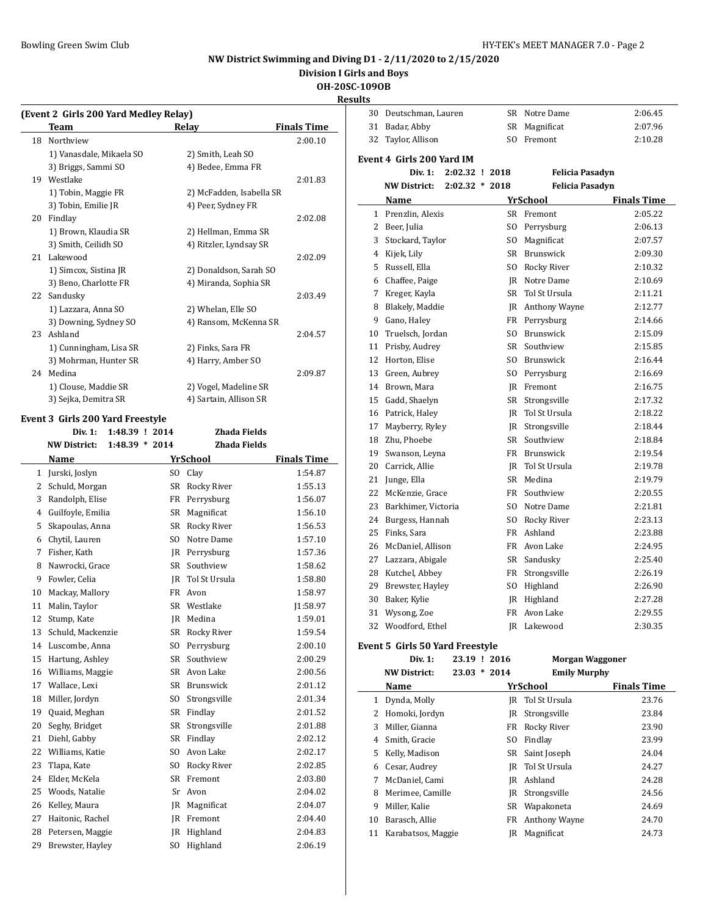**Division I Girls and Boys**

**OH-20SC-109OB**

**Results**

|    | (Event 2 Girls 200 Yard Medley Relay)<br>Team |     | <b>Relay</b>             | <b>Finals Time</b> |
|----|-----------------------------------------------|-----|--------------------------|--------------------|
| 18 | Northview                                     |     |                          | 2:00.10            |
|    | 1) Vanasdale, Mikaela SO                      |     | 2) Smith, Leah SO        |                    |
|    | 3) Briggs, Sammi SO                           |     | 4) Bedee, Emma FR        |                    |
| 19 | Westlake                                      |     |                          | 2:01.83            |
|    | 1) Tobin, Maggie FR                           |     | 2) McFadden, Isabella SR |                    |
|    | 3) Tobin, Emilie JR                           |     | 4) Peer, Sydney FR       |                    |
| 20 | Findlay                                       |     |                          | 2:02.08            |
|    | 1) Brown, Klaudia SR                          |     | 2) Hellman, Emma SR      |                    |
|    | 3) Smith, Ceilidh SO                          |     | 4) Ritzler, Lyndsay SR   |                    |
|    | 21 Lakewood                                   |     |                          | 2:02.09            |
|    | 1) Simcox, Sistina JR                         |     | 2) Donaldson, Sarah SO   |                    |
|    | 3) Beno, Charlotte FR                         |     | 4) Miranda, Sophia SR    |                    |
| 22 | Sandusky                                      |     |                          | 2:03.49            |
|    | 1) Lazzara, Anna SO                           |     | 2) Whelan, Elle SO       |                    |
|    | 3) Downing, Sydney SO                         |     | 4) Ransom, McKenna SR    |                    |
| 23 | Ashland                                       |     |                          | 2:04.57            |
|    | 1) Cunningham, Lisa SR                        |     | 2) Finks, Sara FR        |                    |
|    | 3) Mohrman, Hunter SR                         |     | 4) Harry, Amber SO       |                    |
| 24 | Medina                                        |     |                          | 2:09.87            |
|    | 1) Clouse, Maddie SR                          |     | 2) Vogel, Madeline SR    |                    |
|    | 3) Sejka, Demitra SR                          |     | 4) Sartain, Allison SR   |                    |
|    | <b>Event 3 Girls 200 Yard Freestyle</b>       |     |                          |                    |
|    | Div. $1:$<br>1:48.39 ! 2014                   |     | Zhada Fields             |                    |
|    | <b>NW District:</b><br>$1:48.39 * 2014$       |     | <b>Zhada Fields</b>      |                    |
|    | Name                                          |     | YrSchool                 | <b>Finals Time</b> |
|    | 1 Jurski, Joslyn                              |     | SO Clay                  | 1:54.87            |
|    | 2 Schuld, Morgan                              |     | SR Rocky River           | 1:55.13            |
| 3  | Randolph, Elise                               | FR  | Perrysburg               | 1:56.07            |
| 4  | Guilfoyle, Emilia                             | SR  | Magnificat               | 1:56.10            |
| 5  | Skapoulas, Anna                               |     | SR Rocky River           | 1:56.53            |
| 6  | Chytil, Lauren                                |     | SO Notre Dame            | 1:57.10            |
| 7  | Fisher, Kath                                  |     | JR Perrysburg            | 1:57.36            |
| 8  | Nawrocki, Grace                               |     | SR Southview             | 1:58.62            |
| 9  | Fowler, Celia                                 | JR  | Tol St Ursula            | 1:58.80            |
| 10 | Mackay, Mallory                               | FR  | Avon                     | 1:58.97            |
| 11 | Malin, Taylor                                 |     | SR Westlake              | 1:58.97            |
| 12 | Stump, Kate                                   |     | JR Medina                | 1:59.01            |
| 13 | Schuld, Mackenzie                             | SR  | Rocky River              | 1:59.54            |
| 14 | Luscombe, Anna                                | SO. | Perrysburg               | 2:00.10            |
| 15 | Hartung, Ashley                               | SR  | Southview                | 2:00.29            |
| 16 | Williams, Maggie                              | SR  | Avon Lake                | 2:00.56            |
| 17 | Wallace, Lexi                                 | SR  | Brunswick                | 2:01.12            |
| 18 | Miller, Jordyn                                | SO. | Strongsville             | 2:01.34            |
| 19 | Quaid, Meghan                                 | SR  | Findlay                  | 2:01.52            |
| 20 | Seghy, Bridget                                | SR  | Strongsville             | 2:01.88            |
| 21 | Diehl, Gabby                                  | SR  | Findlay                  | 2:02.12            |
| 22 | Williams, Katie                               | SO  | Avon Lake                | 2:02.17            |
| 23 | Tlapa, Kate                                   | SO  | Rocky River              | 2:02.85            |
| 24 | Elder, McKela                                 | SR  | Fremont                  | 2:03.80            |
| 25 | Woods, Natalie                                | Sr  | Avon                     | 2:04.02            |
| 26 | Kelley, Maura                                 | JR  | Magnificat               | 2:04.07            |
| 27 | Haitonic, Rachel                              | JR  | Fremont                  | 2:04.40            |
| 28 | Petersen, Maggie                              | JR  | Highland                 | 2:04.83            |
| 29 | Brewster, Hayley                              | SO. | Highland                 | 2:06.19            |

| ulto |                                  |                  |     |                        |                               |
|------|----------------------------------|------------------|-----|------------------------|-------------------------------|
| 30   | Deutschman, Lauren               |                  | SR  | Notre Dame             | 2:06.45                       |
|      | 31 Badar, Abby                   |                  | SR  | Magnificat             | 2:07.96                       |
| 32   | Taylor, Allison                  |                  | SO. | Fremont                | 2:10.28                       |
|      | <b>Event 4 Girls 200 Yard IM</b> |                  |     |                        |                               |
|      | Div. 1:                          | $2:02.32$ ! 2018 |     | <b>Felicia Pasadyn</b> |                               |
|      | <b>NW District:</b>              | $2:02.32 * 2018$ |     | <b>Felicia Pasadyn</b> |                               |
|      |                                  |                  |     | YrSchool               |                               |
|      | Name<br>1 Prenzlin, Alexis       |                  |     | SR Fremont             | <b>Finals Time</b><br>2:05.22 |
|      | 2 Beer, Julia                    |                  | SO. | Perrysburg             | 2:06.13                       |
|      | 3 Stockard, Taylor               |                  | SO. | Magnificat             | 2:07.57                       |
|      | 4 Kijek, Lily                    |                  |     | SR Brunswick           | 2:09.30                       |
| 5    | Russell, Ella                    |                  |     | SO Rocky River         | 2:10.32                       |
|      | 6 Chaffee, Paige                 |                  |     | <b>IR</b> Notre Dame   | 2:10.69                       |
| 7    | Kreger, Kayla                    |                  |     | SR Tol St Ursula       | 2:11.21                       |
| 8    | Blakely, Maddie                  |                  |     | JR Anthony Wayne       | 2:12.77                       |
|      | 9 Gano, Haley                    |                  |     | FR Perrysburg          | 2:14.66                       |
|      | 10 Truelsch, Jordan              |                  |     | SO Brunswick           | 2:15.09                       |
|      | 11 Prisby, Audrey                |                  |     | SR Southview           | 2:15.85                       |
|      | 12 Horton, Elise                 |                  |     | SO Brunswick           | 2:16.44                       |
|      | 13 Green, Aubrey                 |                  |     | SO Perrysburg          | 2:16.69                       |
|      | 14 Brown, Mara                   |                  |     | JR Fremont             | 2:16.75                       |
|      | 15 Gadd, Shaelyn                 |                  |     | SR Strongsville        | 2:17.32                       |
|      | 16 Patrick, Haley                |                  |     | JR Tol St Ursula       | 2:18.22                       |
|      | 17 Mayberry, Ryley               |                  |     | JR Strongsville        | 2:18.44                       |
|      | 18 Zhu, Phoebe                   |                  |     | SR Southview           | 2:18.84                       |
|      | 19 Swanson, Leyna                |                  |     | FR Brunswick           | 2:19.54                       |
|      | 20 Carrick, Allie                |                  |     | JR Tol St Ursula       | 2:19.78                       |
|      | 21 Junge, Ella                   |                  |     | SR Medina              | 2:19.79                       |
|      | 22 McKenzie, Grace               |                  |     | FR Southview           | 2:20.55                       |
| 23   | Barkhimer, Victoria              |                  | SO. | Notre Dame             | 2:21.81                       |
|      | 24 Burgess, Hannah               |                  |     | SO Rocky River         | 2:23.13                       |
|      | 25 Finks, Sara                   |                  |     | FR Ashland             | 2:23.88                       |
|      | 26 McDaniel, Allison             |                  |     | FR Avon Lake           | 2:24.95                       |
|      | 27 Lazzara, Abigale              |                  |     | SR Sandusky            | 2:25.40                       |
| 28   | Kutchel, Abbey                   |                  |     | FR Strongsville        | 2:26.19                       |
|      | 29 Brewster, Hayley              |                  |     | SO Highland            | 2:26.90                       |
|      | 30 Baker, Kylie                  |                  |     | JR Highland            | 2:27.28                       |
| 31   | Wysong, Zoe                      |                  |     | FR Avon Lake           | 2:29.55                       |
|      | 32 Woodford, Ethel               |                  |     | IR Lakewood            | 2:30.35                       |
|      | Event 5 Girls 50 Yard Freestyle  |                  |     |                        |                               |

|    | Div. 1:             | 23.19 ! 2016   |     | Morgan Waggoner     |                    |
|----|---------------------|----------------|-----|---------------------|--------------------|
|    | <b>NW District:</b> | $23.03 * 2014$ |     | <b>Emily Murphy</b> |                    |
|    | Name                |                |     | YrSchool            | <b>Finals Time</b> |
| 1  | Dynda, Molly        |                | IR  | Tol St Ursula       | 23.76              |
| 2  | Homoki, Jordyn      |                | IR  | Strongsville        | 23.84              |
| 3  | Miller, Gianna      |                | FR  | Rocky River         | 23.90              |
| 4  | Smith, Gracie       |                | SO. | Findlay             | 23.99              |
| 5. | Kelly, Madison      |                | SR  | Saint Joseph        | 24.04              |
| 6  | Cesar, Audrey       |                | IR  | Tol St Ursula       | 24.27              |
| 7  | McDaniel, Cami      |                | IR  | Ashland             | 24.28              |
| 8  | Merimee, Camille    |                | IR  | Strongsville        | 24.56              |
| 9  | Miller. Kalie       |                | SR  | Wapakoneta          | 24.69              |
| 10 | Barasch, Allie      |                | FR  | Anthony Wayne       | 24.70              |
| 11 | Karabatsos, Maggie  |                | IR  | Magnificat          | 24.73              |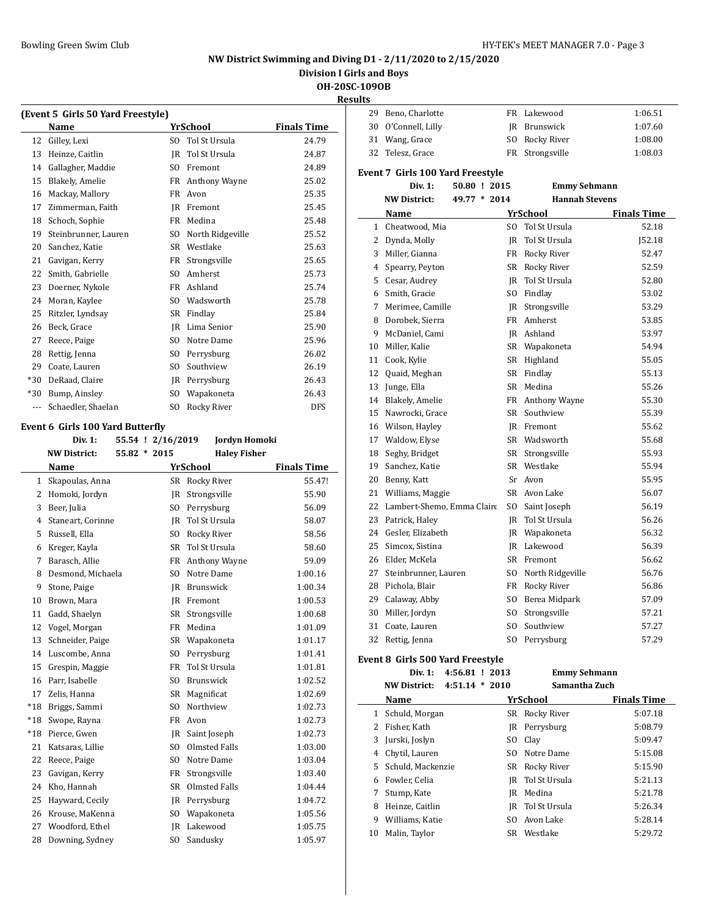## **NW District Swimming and Diving D1 - 2/11/2020 to 2/15/2020**

**Division I Girls and Boys**

**OH-20SC-109OB**

|       | (Event 5 Girls 50 Yard Freestyle) |  |                   |                 |                     |                    |
|-------|-----------------------------------|--|-------------------|-----------------|---------------------|--------------------|
|       | Name                              |  |                   | <b>YrSchool</b> |                     | <b>Finals Time</b> |
| 12    | Gilley, Lexi                      |  | S <sub>O</sub>    | Tol St Ursula   |                     | 24.79              |
| 13    | Heinze, Caitlin                   |  | <b>IR</b>         | Tol St Ursula   |                     | 24.87              |
| 14    | Gallagher, Maddie                 |  | SO.               | Fremont         |                     | 24.89              |
| 15    | Blakely, Amelie                   |  | FR                |                 | Anthony Wayne       | 25.02              |
| 16    | Mackay, Mallory                   |  | FR                | Avon            |                     | 25.35              |
| 17    | Zimmerman, Faith                  |  | <b>IR</b>         | Fremont         |                     | 25.45              |
| 18    | Schoch, Sophie                    |  | FR                | Medina          |                     | 25.48              |
| 19    | Steinbrunner, Lauren              |  | S <sub>O</sub>    |                 | North Ridgeville    | 25.52              |
| 20    | Sanchez, Katie                    |  | <b>SR</b>         | Westlake        |                     | 25.63              |
| 21    | Gavigan, Kerry                    |  | FR                | Strongsville    |                     | 25.65              |
| 22    | Smith, Gabrielle                  |  | S <sub>O</sub>    | Amherst         |                     | 25.73              |
| 23    | Doerner, Nykole                   |  | FR                | Ashland         |                     | 25.74              |
| 24    | Moran, Kaylee                     |  | S <sub>O</sub>    | Wadsworth       |                     | 25.78              |
| 25    | Ritzler, Lyndsay                  |  | <b>SR</b>         | Findlay         |                     | 25.84              |
| 26    | Beck, Grace                       |  | <b>IR</b>         | Lima Senior     |                     | 25.90              |
| 27    | Reece, Paige                      |  | S <sub>O</sub>    | Notre Dame      |                     | 25.96              |
| 28    | Rettig, Jenna                     |  | SO.               | Perrysburg      |                     | 26.02              |
| 29    | Coate, Lauren                     |  | S <sub>O</sub>    | Southview       |                     | 26.19              |
| $*30$ | DeRaad, Claire                    |  | IR                | Perrysburg      |                     | 26.43              |
| $*30$ | Bump, Ainsley                     |  | S <sub>O</sub>    | Wapakoneta      |                     | 26.43              |
| ---   | Schaedler, Shaelan                |  | S <sub>O</sub>    | Rocky River     |                     | <b>DFS</b>         |
|       | Event 6 Girls 100 Yard Butterfly  |  |                   |                 |                     |                    |
|       | Div. 1:                           |  | 55.54 ! 2/16/2019 |                 | Jordyn Homoki       |                    |
|       | <b>NW District:</b>               |  | $55.82 * 2015$    |                 | <b>Haley Fisher</b> |                    |

|              | NW DISTRICT:      | 55.82 * 2015<br><b>Haley Fisher</b> |                      |                    |
|--------------|-------------------|-------------------------------------|----------------------|--------------------|
|              | Name              |                                     | YrSchool             | <b>Finals Time</b> |
| $\mathbf{1}$ | Skapoulas, Anna   | SR                                  | Rocky River          | 55.47!             |
| 2            | Homoki, Jordyn    | IR                                  | Strongsville         | 55.90              |
| 3            | Beer, Julia       | S <sub>O</sub>                      | Perrysburg           | 56.09              |
| 4            | Staneart, Corinne | IR                                  | Tol St Ursula        | 58.07              |
| 5            | Russell, Ella     | S <sub>O</sub>                      | Rocky River          | 58.56              |
| 6            | Kreger, Kayla     | <b>SR</b>                           | Tol St Ursula        | 58.60              |
| 7            | Barasch, Allie    | <b>FR</b>                           | Anthony Wayne        | 59.09              |
| 8            | Desmond, Michaela | S <sub>O</sub>                      | Notre Dame           | 1:00.16            |
| 9            | Stone, Paige      | IR                                  | Brunswick            | 1:00.34            |
| 10           | Brown, Mara       | <b>IR</b>                           | Fremont              | 1:00.53            |
| 11           | Gadd, Shaelyn     | <b>SR</b>                           | Strongsville         | 1:00.68            |
| 12           | Vogel, Morgan     | FR                                  | Medina               | 1:01.09            |
| 13           | Schneider, Paige  | SR                                  | Wapakoneta           | 1:01.17            |
| 14           | Luscombe, Anna    | S <sub>O</sub>                      | Perrysburg           | 1:01.41            |
| 15           | Grespin, Maggie   | <b>FR</b>                           | Tol St Ursula        | 1:01.81            |
| 16           | Parr. Isabelle    | S <sub>O</sub>                      | <b>Brunswick</b>     | 1:02.52            |
| 17           | Zelis, Hanna      | <b>SR</b>                           | Magnificat           | 1:02.69            |
| $*18$        | Briggs, Sammi     | S <sub>O</sub>                      | Northview            | 1:02.73            |
| $*18$        | Swope, Rayna      | <b>FR</b>                           | Avon                 | 1:02.73            |
| $*18$        | Pierce, Gwen      | IR                                  | Saint Joseph         | 1:02.73            |
| 21           | Katsaras, Lillie  | S <sub>O</sub>                      | <b>Olmsted Falls</b> | 1:03.00            |
| 22           | Reece, Paige      | S <sub>O</sub>                      | Notre Dame           | 1:03.04            |
| 23           | Gavigan, Kerry    | <b>FR</b>                           | Strongsville         | 1:03.40            |
| 24           | Kho, Hannah       | <b>SR</b>                           | Olmsted Falls        | 1:04.44            |
| 25           | Hayward, Cecily   | JR                                  | Perrysburg           | 1:04.72            |
| 26           | Krouse, MaKenna   | S <sub>O</sub>                      | Wapakoneta           | 1:05.56            |
| 27           | Woodford, Ethel   | <b>IR</b>                           | Lakewood             | 1:05.75            |
| 28           | Downing, Sydney   | S <sub>O</sub>                      | Sandusky             | 1:05.97            |

| <b>Results</b> |                                                               |              |                                      |                    |
|----------------|---------------------------------------------------------------|--------------|--------------------------------------|--------------------|
|                | 29 Beno, Charlotte                                            |              | FR Lakewood                          | 1:06.51            |
| 30             | O'Connell, Lilly                                              |              | JR Brunswick                         | 1:07.60            |
| 31             | Wang, Grace                                                   | SO.          | Rocky River                          | 1:08.00            |
| 32             | Telesz, Grace                                                 |              | FR Strongsville                      | 1:08.03            |
|                |                                                               |              |                                      |                    |
|                | <b>Event 7 Girls 100 Yard Freestyle</b>                       |              |                                      |                    |
|                | Div. 1:                                                       | 50.80 ! 2015 | <b>Emmy Sehmann</b>                  |                    |
|                | <b>NW District:</b>                                           | 49.77 * 2014 | <b>Hannah Stevens</b>                |                    |
|                | Name                                                          |              | YrSchool                             | <b>Finals Time</b> |
| $\mathbf{1}$   | Cheatwood, Mia                                                |              | SO Tol St Ursula                     | 52.18              |
| 2              | Dynda, Molly                                                  | IR           | Tol St Ursula                        | J52.18             |
| 3              | Miller, Gianna                                                |              | FR Rocky River                       | 52.47              |
|                | 4 Spearry, Peyton                                             |              | SR Rocky River                       | 52.59              |
|                | 5 Cesar, Audrey                                               |              | JR Tol St Ursula                     | 52.80              |
|                | 6 Smith, Gracie                                               |              | SO Findlay                           | 53.02              |
| 7              | Merimee, Camille                                              |              | JR Strongsville                      | 53.29              |
| 8              | Dorobek, Sierra                                               |              | FR Amherst                           | 53.85              |
| 9              | McDaniel, Cami                                                |              | JR Ashland                           | 53.97              |
| 10             | Miller, Kalie                                                 |              | SR Wapakoneta                        | 54.94              |
| 11             | Cook, Kylie                                                   |              | SR Highland                          | 55.05              |
| 12             | Quaid, Meghan                                                 |              | SR Findlay                           | 55.13              |
| 13             | Junge, Ella                                                   |              | SR Medina                            | 55.26              |
| 14             | <b>Blakely, Amelie</b>                                        |              | FR Anthony Wayne                     | 55.30              |
| 15             | Nawrocki, Grace                                               |              | SR Southview                         | 55.39              |
|                | 16 Wilson, Hayley                                             |              | <b>IR</b> Fremont                    | 55.62              |
| 17             | Waldow, Elyse                                                 |              | SR Wadsworth                         | 55.68              |
| 18             | Seghy, Bridget                                                |              | SR Strongsville                      | 55.93              |
| 19             | Sanchez, Katie                                                |              | SR Westlake                          | 55.94              |
| 20             | Benny, Katt                                                   |              | Sr Avon                              | 55.95              |
| 21             | Williams, Maggie                                              |              | SR Avon Lake                         | 56.07              |
| 22             | Lambert-Shemo, Emma Claire                                    | SO.          | Saint Joseph                         | 56.19              |
| 23             | Patrick, Haley                                                | IR           | Tol St Ursula                        | 56.26              |
| 24             | Gesler, Elizabeth                                             |              | JR Wapakoneta                        | 56.32              |
| 25             | Simcox, Sistina                                               |              | JR Lakewood                          | 56.39              |
| 26             | Elder, McKela                                                 |              | SR Fremont                           | 56.62              |
| 27             | Steinbrunner, Lauren                                          |              | SO North Ridgeville                  | 56.76              |
| 28             | Pichola, Blair                                                |              | FR Rocky River                       | 56.86              |
| 29             | Calaway, Abby                                                 |              | SO Berea Midpark                     | 57.09              |
|                | 30 Miller, Jordyn                                             |              | SO Strongsville                      | 57.21              |
|                | 31 Coate, Lauren                                              |              | SO Southview                         | 57.27              |
|                | 32 Rettig, Jenna                                              | SO.          | Perrysburg                           | 57.29              |
|                |                                                               |              |                                      |                    |
|                | Event 8 Girls 500 Yard Freestyle<br>Div. 1:<br>4:56.81 ! 2013 |              |                                      |                    |
|                |                                                               |              | <b>Emmy Sehmann</b><br>Samantha Zuch |                    |
|                | <b>NW District:</b><br>$4:51.14 * 2010$                       |              |                                      |                    |
|                | Name                                                          |              | <b>YrSchool</b>                      | <b>Finals Time</b> |
|                | 1 Schuld, Morgan                                              |              | SR Rocky River                       | 5:07.18            |
|                | 2 Fisher, Kath                                                |              | JR Perrysburg                        | 5:08.79            |
| 3              | Jurski, Joslyn                                                | SO.          | Clay                                 | 5:09.47            |
|                | 4 Chytil, Lauren                                              |              | SO Notre Dame                        | 5:15.08            |
| 5              | Schuld, Mackenzie                                             |              | SR Rocky River                       | 5:15.90            |
|                | 6 Fowler, Celia                                               |              | JR Tol St Ursula                     | 5:21.13            |

7 Stump, Kate JR Medina 5:21.78 8 Heinze, Caitlin JR Tol St Ursula 5:26.34 Williams, Katie SO Avon Lake 5:28.14 10 Malin, Taylor SR Westlake 5:29.72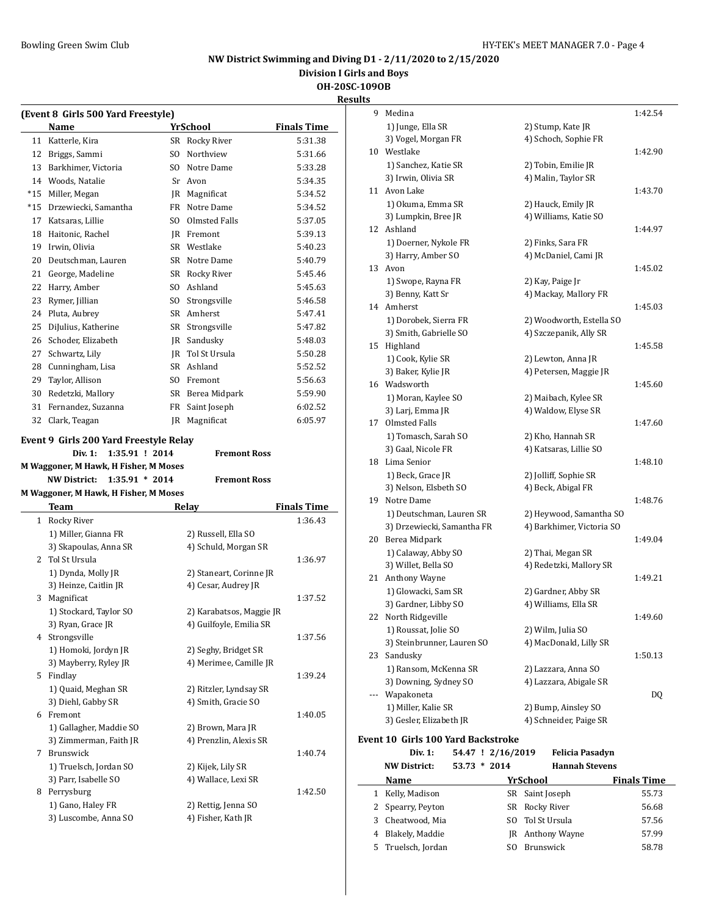**Division I Girls and Boys**

**OH-20SC-109OB**

|    |                                            |                          | <b>Results</b>     |
|----|--------------------------------------------|--------------------------|--------------------|
|    | (Event 8 Girls 500 Yard Freestyle)<br>Name | <b>YrSchool</b>          | <b>Finals Time</b> |
|    | 11 Katterle, Kira                          | SR Rocky River           | 5:31.38            |
|    | 12 Briggs, Sammi                           | SO Northview             | 5:31.66            |
|    | 13 Barkhimer, Victoria                     | SO Notre Dame            | 5:33.28            |
|    | 14 Woods, Natalie                          | Sr Avon                  | 5:34.35            |
|    | *15 Miller, Megan                          | JR Magnificat            | 5:34.52            |
|    | *15 Drzewiecki, Samantha                   | FR Notre Dame            | 5:34.52            |
|    | 17 Katsaras, Lillie                        | SO Olmsted Falls         | 5:37.05            |
|    | 18 Haitonic, Rachel                        | JR Fremont               | 5:39.13            |
|    | 19 Irwin, Olivia                           | SR Westlake              | 5:40.23            |
|    | 20 Deutschman, Lauren                      | SR Notre Dame            | 5:40.79            |
|    | 21 George, Madeline                        | SR Rocky River           | 5:45.46            |
|    | 22 Harry, Amber                            | SO Ashland               | 5:45.63            |
|    | 23 Rymer, Jillian                          | SO Strongsville          | 5:46.58            |
|    | 24 Pluta, Aubrey                           | SR Amherst               | 5:47.41            |
|    | 25 DiJulius, Katherine                     | SR Strongsville          |                    |
|    | 26 Schoder, Elizabeth                      | JR Sandusky              | 5:47.82            |
|    |                                            |                          | 5:48.03            |
| 27 | Schwartz, Lily                             | JR Tol St Ursula         | 5:50.28            |
|    | 28 Cunningham, Lisa                        | SR Ashland               | 5:52.52            |
| 29 | Taylor, Allison                            | SO Fremont               | 5:56.63            |
|    | 30 Redetzki, Mallory                       | SR Berea Midpark         | 5:59.90            |
| 31 | Fernandez, Suzanna                         | FR Saint Joseph          | 6:02.52            |
|    | 32 Clark, Teagan                           | <b>IR</b> Magnificat     | 6:05.97            |
|    | Event 9 Girls 200 Yard Freestyle Relay     |                          |                    |
|    |                                            |                          |                    |
|    | 1:35.91 ! 2014<br><b>Div. 1:</b>           | <b>Fremont Ross</b>      |                    |
|    | M Waggoner, M Hawk, H Fisher, M Moses      |                          |                    |
|    | $1:35.91 * 2014$<br><b>NW District:</b>    | <b>Fremont Ross</b>      |                    |
|    | M Waggoner, M Hawk, H Fisher, M Moses      |                          |                    |
|    | Team                                       | Relay                    | <b>Finals Time</b> |
|    | 1 Rocky River                              |                          | 1:36.43            |
|    | 1) Miller, Gianna FR                       | 2) Russell, Ella SO      |                    |
|    | 3) Skapoulas, Anna SR                      | 4) Schuld, Morgan SR     |                    |
|    | 2 Tol St Ursula                            |                          | 1:36.97            |
|    | 1) Dynda, Molly JR                         | 2) Staneart, Corinne JR  |                    |
|    | 3) Heinze, Caitlin JR                      | 4) Cesar, Audrey JR      |                    |
|    | 3 Magnificat                               |                          | 1:37.52            |
|    | 1) Stockard, Taylor SO                     | 2) Karabatsos, Maggie JR |                    |
|    | 3) Ryan, Grace JR                          | 4) Guilfoyle, Emilia SR  |                    |
|    | 4 Strongsville                             |                          | 1:37.56            |
|    | 1) Homoki, Jordyn JR                       | 2) Seghy, Bridget SR     |                    |
|    | 3) Mayberry, Ryley JR                      | 4) Merimee, Camille JR   |                    |
|    | 5 Findlay                                  |                          | 1:39.24            |
|    | 1) Quaid, Meghan SR                        | 2) Ritzler, Lyndsay SR   |                    |
|    | 3) Diehl, Gabby SR                         | 4) Smith, Gracie SO      |                    |
|    | 6 Fremont                                  |                          | 1:40.05            |
|    | 1) Gallagher, Maddie SO                    | 2) Brown, Mara JR        |                    |
|    | 3) Zimmerman, Faith JR                     | 4) Prenzlin, Alexis SR   |                    |
| 7  | Brunswick                                  |                          | 1:40.74            |
|    | 1) Truelsch, Jordan SO                     | 2) Kijek, Lily SR        |                    |
|    | 3) Parr, Isabelle SO                       | 4) Wallace, Lexi SR      |                    |
|    | 8 Perrysburg                               |                          | 1:42.50            |
|    | 1) Gano, Haley FR                          | 2) Rettig, Jenna SO      |                    |

| lts |                                           |     |                           |                    |
|-----|-------------------------------------------|-----|---------------------------|--------------------|
| 9   | Medina                                    |     |                           | 1:42.54            |
|     | 1) Junge, Ella SR                         |     | 2) Stump, Kate JR         |                    |
|     | 3) Vogel, Morgan FR                       |     | 4) Schoch, Sophie FR      |                    |
| 10  | Westlake                                  |     |                           | 1:42.90            |
|     | 1) Sanchez, Katie SR                      |     | 2) Tobin, Emilie JR       |                    |
|     | 3) Irwin, Olivia SR                       |     | 4) Malin, Taylor SR       |                    |
|     | 11 Avon Lake                              |     |                           | 1:43.70            |
|     | 1) Okuma, Emma SR                         |     | 2) Hauck, Emily JR        |                    |
|     | 3) Lumpkin, Bree JR                       |     | 4) Williams, Katie SO     |                    |
|     | 12 Ashland                                |     |                           | 1:44.97            |
|     | 1) Doerner, Nykole FR                     |     | 2) Finks, Sara FR         |                    |
|     | 3) Harry, Amber SO                        |     | 4) McDaniel, Cami JR      |                    |
|     | 13 Avon                                   |     |                           | 1:45.02            |
|     | 1) Swope, Rayna FR                        |     | 2) Kay, Paige Jr          |                    |
|     | 3) Benny, Katt Sr                         |     | 4) Mackay, Mallory FR     |                    |
|     | 14 Amherst                                |     |                           | 1:45.03            |
|     | 1) Dorobek, Sierra FR                     |     | 2) Woodworth, Estella SO  |                    |
|     | 3) Smith, Gabrielle SO                    |     | 4) Szczepanik, Ally SR    |                    |
|     | 15 Highland                               |     |                           | 1:45.58            |
|     | 1) Cook, Kylie SR                         |     | 2) Lewton, Anna JR        |                    |
|     | 3) Baker, Kylie JR                        |     | 4) Petersen, Maggie JR    |                    |
|     | 16 Wadsworth                              |     |                           | 1:45.60            |
|     | 1) Moran, Kaylee SO                       |     | 2) Maibach, Kylee SR      |                    |
|     | 3) Larj, Emma JR                          |     | 4) Waldow, Elyse SR       |                    |
| 17  | <b>Olmsted Falls</b>                      |     |                           | 1:47.60            |
|     | 1) Tomasch, Sarah SO                      |     | 2) Kho, Hannah SR         |                    |
|     | 3) Gaal, Nicole FR                        |     | 4) Katsaras, Lillie SO    |                    |
|     | 18 Lima Senior                            |     |                           | 1:48.10            |
|     | 1) Beck, Grace JR                         |     | 2) Jolliff, Sophie SR     |                    |
|     | 3) Nelson, Elsbeth SO                     |     | 4) Beck, Abigal FR        |                    |
| 19  | Notre Dame                                |     |                           | 1:48.76            |
|     | 1) Deutschman, Lauren SR                  |     | 2) Heywood, Samantha SO   |                    |
|     | 3) Drzewiecki, Samantha FR                |     | 4) Barkhimer, Victoria SO |                    |
|     | 20 Berea Midpark                          |     |                           | 1:49.04            |
|     | 1) Calaway, Abby SO                       |     | 2) Thai, Megan SR         |                    |
|     | 3) Willet, Bella SO                       |     | 4) Redetzki, Mallory SR   |                    |
| 21  | Anthony Wayne                             |     |                           | 1:49.21            |
|     | 1) Glowacki, Sam SR                       |     | 2) Gardner, Abby SR       |                    |
|     | 3) Gardner, Libby SO                      |     | 4) Williams, Ella SR      |                    |
|     | 22 North Ridgeville                       |     |                           | 1:49.60            |
|     | 1) Roussat, Jolie SO                      |     | 2) Wilm, Julia SO         |                    |
|     | 3) Steinbrunner, Lauren SO                |     | 4) MacDonald, Lilly SR    |                    |
| 23  | Sandusky                                  |     |                           | 1:50.13            |
|     | 1) Ransom, McKenna SR                     |     | 2) Lazzara, Anna SO       |                    |
|     | 3) Downing, Sydney SO                     |     | 4) Lazzara, Abigale SR    |                    |
| --- | Wapakoneta                                |     |                           | DQ                 |
|     | 1) Miller, Kalie SR                       |     | 2) Bump, Ainsley SO       |                    |
|     | 3) Gesler, Elizabeth JR                   |     | 4) Schneider, Paige SR    |                    |
|     | <b>Event 10 Girls 100 Yard Backstroke</b> |     |                           |                    |
|     | Div. 1:<br>54.47 ! 2/16/2019              |     | <b>Felicia Pasadyn</b>    |                    |
|     | <b>NW District:</b><br>$53.73 * 2014$     |     | <b>Hannah Stevens</b>     |                    |
|     | <b>Name</b>                               |     | <u>YrSchool</u>           | <u>Finals Time</u> |
| 1   | Kelly, Madison                            |     | SR Saint Joseph           | 55.73              |
| 2   | Spearry, Peyton                           | SR  | Rocky River               | 56.68              |
| 3   | Cheatwood, Mia                            | SO  | Tol St Ursula             | 57.56              |
| 4   | Blakely, Maddie                           | JR  | Anthony Wayne             | 57.99              |
| 5   | Truelsch, Jordan                          | SO. | Brunswick                 | 58.78              |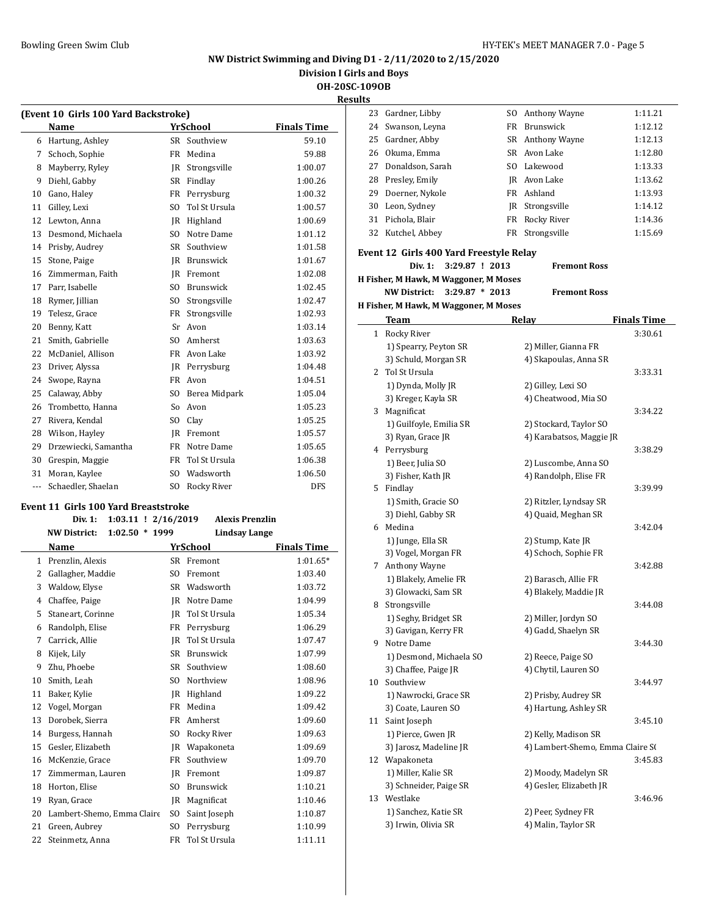# **NW District Swimming and Diving D1 - 2/11/2020 to 2/15/2020**

**Division I Girls and Boys**

**OH-20SC-109OB Result** 

| (Event 10 Girls 100 Yard Backstroke) |                                      |                         |                        |                    |  |
|--------------------------------------|--------------------------------------|-------------------------|------------------------|--------------------|--|
|                                      | Name                                 |                         | <b>YrSchool</b>        | <b>Finals Time</b> |  |
| 6                                    | Hartung, Ashley                      | <b>SR</b>               | Southview              | 59.10              |  |
| 7                                    | Schoch, Sophie                       | FR                      | Medina                 | 59.88              |  |
| 8                                    | Mayberry, Ryley                      | IR                      | Strongsville           | 1:00.07            |  |
| 9                                    | Diehl, Gabby                         | SR                      | Findlay                | 1:00.26            |  |
| 10                                   | Gano, Haley                          | <b>FR</b>               | Perrysburg             | 1:00.32            |  |
| 11                                   | Gilley, Lexi                         | S <sub>O</sub>          | Tol St Ursula          | 1:00.57            |  |
| 12                                   | Lewton, Anna                         | IR                      | Highland               | 1:00.69            |  |
| 13                                   | Desmond, Michaela                    | S <sub>O</sub>          | Notre Dame             | 1:01.12            |  |
| 14                                   | Prisby, Audrey                       | SR                      | Southview              | 1:01.58            |  |
| 15                                   | Stone, Paige                         | <b>IR</b>               | Brunswick              | 1:01.67            |  |
| 16                                   | Zimmerman, Faith                     | IR                      | Fremont                | 1:02.08            |  |
| 17                                   | Parr, Isabelle                       | SO.                     | Brunswick              | 1:02.45            |  |
| 18                                   | Rymer, Jillian                       | SO.                     | Strongsville           | 1:02.47            |  |
| 19                                   | Telesz, Grace                        | FR                      | Strongsville           | 1:02.93            |  |
| 20                                   | Benny, Katt                          | Sr                      | Avon                   | 1:03.14            |  |
| 21                                   | Smith, Gabrielle                     | S <sub>O</sub>          | Amherst                | 1:03.63            |  |
| 22                                   | McDaniel, Allison                    | <b>FR</b>               | Avon Lake              | 1:03.92            |  |
| 23                                   | Driver, Alyssa                       | IR                      | Perrysburg             | 1:04.48            |  |
| 24                                   | Swope, Rayna                         | <b>FR</b>               | Avon                   | 1:04.51            |  |
| 25                                   | Calaway, Abby                        | S <sub>O</sub>          | Berea Midpark          | 1:05.04            |  |
| 26                                   | Trombetto, Hanna                     | So                      | Avon                   | 1:05.23            |  |
| 27                                   | Rivera, Kendal                       | S <sub>O</sub>          | Clay                   | 1:05.25            |  |
| 28                                   | Wilson, Hayley                       | IR                      | Fremont                | 1:05.57            |  |
| 29                                   | Drzewiecki, Samantha                 | <b>FR</b>               | Notre Dame             | 1:05.65            |  |
| 30                                   | Grespin, Maggie                      | FR                      | Tol St Ursula          | 1:06.38            |  |
| 31                                   | Moran, Kaylee                        | S <sub>O</sub>          | Wadsworth              | 1:06.50            |  |
| ---                                  | Schaedler, Shaelan                   | S <sub>0</sub>          | <b>Rocky River</b>     | <b>DFS</b>         |  |
|                                      | Event 11 Girls 100 Yard Breaststroke |                         |                        |                    |  |
|                                      | Div. 1:                              | $1:03.11$ ! $2/16/2019$ | <b>Alexis Prenzlin</b> |                    |  |

|    | <b>NW District:</b><br>$1:02.50$ *<br>1999 |                | <b>Lindsay Lange</b> |                    |
|----|--------------------------------------------|----------------|----------------------|--------------------|
|    | Name                                       |                | YrSchool             | <b>Finals Time</b> |
| 1  | Prenzlin, Alexis                           | <b>SR</b>      | Fremont              | $1:01.65*$         |
| 2  | Gallagher, Maddie                          | S <sub>O</sub> | Fremont              | 1:03.40            |
| 3  | Waldow, Elyse                              | <b>SR</b>      | Wadsworth            | 1:03.72            |
| 4  | Chaffee, Paige                             | <b>JR</b>      | Notre Dame           | 1:04.99            |
| 5  | Staneart, Corinne                          | <b>JR</b>      | Tol St Ursula        | 1:05.34            |
| 6  | Randolph, Elise                            | FR             | Perrysburg           | 1:06.29            |
| 7  | Carrick, Allie                             | <b>JR</b>      | Tol St Ursula        | 1:07.47            |
| 8  | Kijek, Lily                                | <b>SR</b>      | <b>Brunswick</b>     | 1:07.99            |
| 9  | Zhu, Phoebe                                | <b>SR</b>      | Southview            | 1:08.60            |
| 10 | Smith, Leah                                | SO.            | Northview            | 1:08.96            |
| 11 | Baker, Kylie                               | <b>JR</b>      | Highland             | 1:09.22            |
| 12 | Vogel, Morgan                              | FR             | Medina               | 1:09.42            |
| 13 | Dorobek, Sierra                            | <b>FR</b>      | Amherst              | 1:09.60            |
| 14 | Burgess, Hannah                            | S <sub>O</sub> | <b>Rocky River</b>   | 1:09.63            |
| 15 | Gesler, Elizabeth                          | <b>JR</b>      | Wapakoneta           | 1:09.69            |
| 16 | McKenzie, Grace                            | <b>FR</b>      | Southview            | 1:09.70            |
| 17 | Zimmerman, Lauren                          | <b>JR</b>      | Fremont              | 1:09.87            |
| 18 | Horton, Elise                              | SO.            | <b>Brunswick</b>     | 1:10.21            |
| 19 | Ryan, Grace                                | <b>JR</b>      | Magnificat           | 1:10.46            |
| 20 | Lambert-Shemo, Emma Claire                 | S <sub>O</sub> | Saint Joseph         | 1:10.87            |
| 21 | Green, Aubrey                              | SO.            | Perrysburg           | 1:10.99            |
| 22 | Steinmetz, Anna                            | <b>FR</b>      | Tol St Ursula        | 1:11.11            |
|    |                                            |                |                      |                    |

| uits |                                           |    |                                               |                    |
|------|-------------------------------------------|----|-----------------------------------------------|--------------------|
| 23   | Gardner, Libby                            |    | SO Anthony Wayne                              | 1:11.21            |
| 24   | Swanson, Leyna                            |    | FR Brunswick                                  | 1:12.12            |
| 25   | Gardner, Abby                             |    | SR Anthony Wayne                              | 1:12.13            |
|      | 26 Okuma, Emma                            |    | SR Avon Lake                                  | 1:12.80            |
| 27   | Donaldson, Sarah                          |    | SO Lakewood                                   | 1:13.33            |
| 28   | Presley, Emily                            |    | JR Avon Lake                                  | 1:13.62            |
| 29   | Doerner, Nykole                           |    | FR Ashland                                    | 1:13.93            |
| 30   | Leon, Sydney                              | JR | Strongsville                                  | 1:14.12            |
| 31   | Pichola, Blair                            | FR | Rocky River                                   | 1:14.36            |
| 32   | Kutchel, Abbey                            | FR | Strongsville                                  | 1:15.69            |
|      |                                           |    |                                               |                    |
|      | Event 12 Girls 400 Yard Freestyle Relay   |    |                                               |                    |
|      | Div. 1:<br>3:29.87 ! 2013                 |    | <b>Fremont Ross</b>                           |                    |
|      | H Fisher, M Hawk, M Waggoner, M Moses     |    |                                               |                    |
|      | $3:29.87 * 2013$<br><b>NW District:</b>   |    | <b>Fremont Ross</b>                           |                    |
|      | H Fisher, M Hawk, M Waggoner, M Moses     |    |                                               |                    |
|      | Team                                      |    | Relay                                         | <b>Finals Time</b> |
|      | 1 Rocky River                             |    |                                               | 3:30.61            |
|      | 1) Spearry, Peyton SR                     |    | 2) Miller, Gianna FR                          |                    |
|      | 3) Schuld, Morgan SR                      |    | 4) Skapoulas, Anna SR                         |                    |
| 2    | Tol St Ursula                             |    |                                               | 3:33.31            |
|      | 1) Dynda, Molly JR                        |    | 2) Gilley, Lexi SO                            |                    |
|      | 3) Kreger, Kayla SR                       |    | 4) Cheatwood, Mia SO                          |                    |
|      | 3 Magnificat                              |    |                                               | 3:34.22            |
|      | 1) Guilfoyle, Emilia SR                   |    | 2) Stockard, Taylor SO                        |                    |
|      | 3) Ryan, Grace JR                         |    | 4) Karabatsos, Maggie JR                      |                    |
|      | 4 Perrysburg                              |    |                                               | 3:38.29            |
|      | 1) Beer, Julia SO                         |    | 2) Luscombe, Anna SO                          |                    |
|      | 3) Fisher, Kath JR                        |    | 4) Randolph, Elise FR                         |                    |
|      | 5 Findlay                                 |    |                                               | 3:39.99            |
|      | 1) Smith, Gracie SO<br>3) Diehl, Gabby SR |    | 2) Ritzler, Lyndsay SR<br>4) Quaid, Meghan SR |                    |
| 6    | Medina                                    |    |                                               | 3:42.04            |
|      | 1) Junge, Ella SR                         |    | 2) Stump, Kate JR                             |                    |
|      | 3) Vogel, Morgan FR                       |    | 4) Schoch, Sophie FR                          |                    |
|      | 7 Anthony Wayne                           |    |                                               | 3:42.88            |
|      | 1) Blakely, Amelie FR                     |    | 2) Barasch, Allie FR                          |                    |
|      | 3) Glowacki, Sam SR                       |    | 4) Blakely, Maddie JR                         |                    |
|      | 8 Strongsville                            |    |                                               | 3:44.08            |
|      | 1) Seghy, Bridget SR                      |    | 2) Miller, Jordyn SO                          |                    |
|      | 3) Gavigan, Kerry FR                      |    | 4) Gadd, Shaelyn SR                           |                    |
| 9    | Notre Dame                                |    |                                               | 3:44.30            |
|      | 1) Desmond, Michaela SO                   |    | 2) Reece, Paige SO                            |                    |
|      | 3) Chaffee, Paige JR                      |    | 4) Chytil, Lauren SO                          |                    |
| 10   | Southview                                 |    |                                               | 3:44.97            |
|      | 1) Nawrocki, Grace SR                     |    | 2) Prisby, Audrey SR                          |                    |
|      | 3) Coate, Lauren SO                       |    | 4) Hartung, Ashley SR                         |                    |
| 11   | Saint Joseph                              |    |                                               | 3:45.10            |
|      | 1) Pierce, Gwen JR                        |    | 2) Kelly, Madison SR                          |                    |
|      | 3) Jarosz, Madeline JR                    |    | 4) Lambert-Shemo, Emma Claire S(              |                    |
|      | 12 Wapakoneta                             |    |                                               | 3:45.83            |
|      | 1) Miller, Kalie SR                       |    | 2) Moody, Madelyn SR                          |                    |
|      | 3) Schneider, Paige SR                    |    | 4) Gesler, Elizabeth JR                       |                    |
| 13   | Westlake                                  |    |                                               | 3:46.96            |
|      | 1) Sanchez, Katie SR                      |    | 2) Peer, Sydney FR                            |                    |
|      | 3) Irwin, Olivia SR                       |    | 4) Malin, Taylor SR                           |                    |
|      |                                           |    |                                               |                    |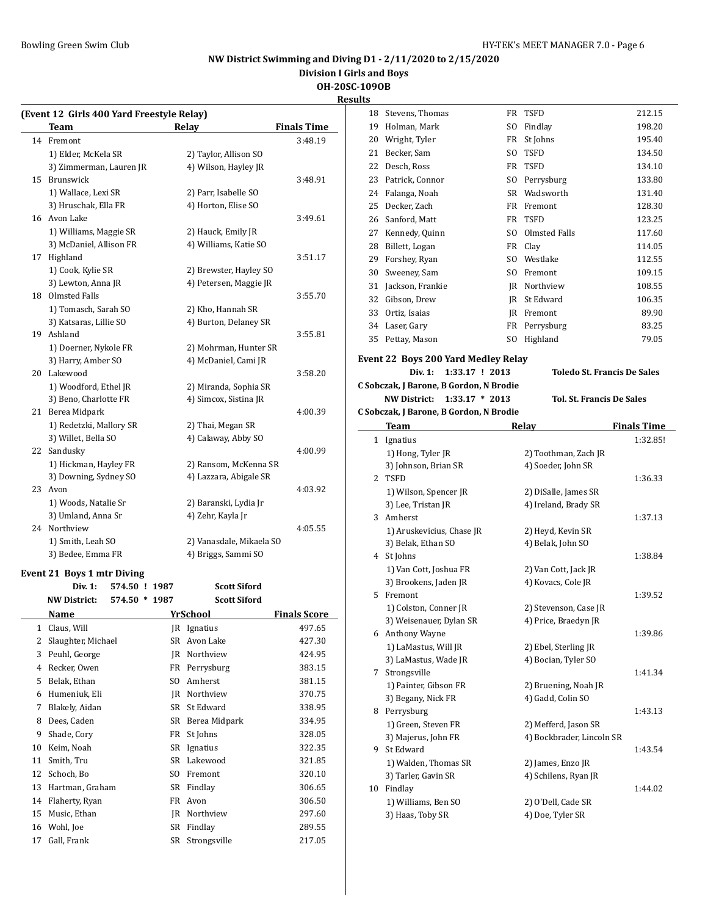**Division I Girls and Boys**

# **OH-20SC-109OB**

**Results (Event 12 Girls 400 Yard Freestyle Relay) Team Relay Finals Time** 14 Fremont 3:48.19 1) Elder, McKela SR 2) Taylor, Allison SO 3) Zimmerman, Lauren JR 4) Wilson, Hayley JR 15 Brunswick 3:48.91 1) Wallace, Lexi SR 2) Parr, Isabelle SO 3) Hruschak, Ella FR 4) Horton, Elise SO 16 Avon Lake 3:49.61 1) Williams, Maggie SR 2) Hauck, Emily JR 3) McDaniel, Allison FR 4) Williams, Katie SO 17 Highland 3:51.17 1) Cook, Kylie SR 2) Brewster, Hayley SO 3) Lewton, Anna JR 4) Petersen, Maggie JR 18 Olmsted Falls 3:55.70 1) Tomasch, Sarah SO 2) Kho, Hannah SR 3) Katsaras, Lillie SO 4) Burton, Delaney SR 19 Ashland 3:55.81 1) Doerner, Nykole FR 2) Mohrman, Hunter SR 3) Harry, Amber SO 4) McDaniel, Cami JR 20 Lakewood 3:58.20 1) Woodford, Ethel JR 2) Miranda, Sophia SR 3) Beno, Charlotte FR 4) Simcox, Sistina JR 21 Berea Midpark 4:00.39 1) Redetzki, Mallory SR 2) Thai, Megan SR 3) Willet, Bella SO 4) Calaway, Abby SO 22 Sandusky 4:00.99 1) Hickman, Hayley FR 2) Ransom, McKenna SR 3) Downing, Sydney SO 4) Lazzara, Abigale SR 23 Avon 4:03.92 1) Woods, Natalie Sr 2) Baranski, Lydia Jr 3) Umland, Anna Sr 4) Zehr, Kayla Jr 24 Northview 4:05.55 1) Smith, Leah SO 2) Vanasdale, Mikaela SO 3) Bedee, Emma FR 4) Briggs, Sammi SO **Event 21 Boys 1 mtr Diving**

**Div. 1: 574.50 ! 1987 Scott Siford NW District: 574.50 \* 1987 Scott Siford Name Yr School Finals Score** 1 Claus, Will **JR** Ignatius 497.65 2 Slaughter, Michael SR Avon Lake 427.30 3 Peuhl, George JR Northview 424.95 4 Recker, Owen FR Perrysburg 383.15 5 Belak, Ethan SO Amherst 381.15 6 Humeniuk, Eli JR Northview 370.75 7 Blakely, Aidan SR St Edward 338.95 8 Dees, Caden SR Berea Midpark 334.95 9 Shade, Cory **FR** St Johns 328.05 10 Keim, Noah SR Ignatius 322.35 11 Smith, Tru SR Lakewood 321.85 12 Schoch, Bo SO Fremont 320.10 13 Hartman, Graham SR Findlay 306.65 14 Flaherty, Ryan FR Avon 306.50 15 Music, Ethan JR Northview 297.60 16 Wohl, Joe SR Findlay 289.55 17 Gall, Frank SR Strongsville 217.05

| 18 | Stevens, Thomas                                                   | FR  | TSFD                                      | 212.15             |
|----|-------------------------------------------------------------------|-----|-------------------------------------------|--------------------|
| 19 | Holman, Mark                                                      | SO. | Findlay                                   | 198.20             |
| 20 | Wright, Tyler                                                     | FR  | St Johns                                  | 195.40             |
| 21 | Becker, Sam                                                       | SO. | <b>TSFD</b>                               | 134.50             |
| 22 | Desch, Ross                                                       | FR  | <b>TSFD</b>                               | 134.10             |
| 23 | Patrick, Connor                                                   | SO. | Perrysburg                                | 133.80             |
| 24 | Falanga, Noah                                                     |     | SR Wadsworth                              | 131.40             |
| 25 | Decker, Zach                                                      | FR  | Fremont                                   | 128.30             |
| 26 | Sanford, Matt                                                     | FR  | <b>TSFD</b>                               | 123.25             |
| 27 | Kennedy, Quinn                                                    | SO. | Olmsted Falls                             | 117.60             |
| 28 | Billett, Logan                                                    |     | FR Clay                                   | 114.05             |
| 29 | Forshey, Ryan                                                     | SO. | Westlake                                  | 112.55             |
| 30 | Sweeney, Sam                                                      | SO. | Fremont                                   | 109.15             |
| 31 | Jackson, Frankie                                                  |     | JR Northview                              | 108.55             |
| 32 | Gibson, Drew                                                      |     | JR St Edward                              | 106.35             |
| 33 | Ortiz, Isaias                                                     | JR  | Fremont                                   | 89.90              |
| 34 | Laser, Gary                                                       | FR  | Perrysburg                                | 83.25              |
| 35 | Pettay, Mason                                                     | SO. | Highland                                  | 79.05              |
|    |                                                                   |     |                                           |                    |
|    | Event 22  Boys 200 Yard Medley Relay<br>Div. 1:<br>1:33.17 ! 2013 |     | <b>Toledo St. Francis De Sales</b>        |                    |
|    | C Sobczak, J Barone, B Gordon, N Brodie                           |     |                                           |                    |
|    | <b>NW District:</b><br>$1:33.17 * 2013$                           |     | <b>Tol. St. Francis De Sales</b>          |                    |
|    | C Sobczak, J Barone, B Gordon, N Brodie                           |     |                                           |                    |
|    |                                                                   |     |                                           | <b>Finals Time</b> |
|    | Team                                                              |     | <u>Relay</u>                              | 1:32.85!           |
|    | 1 Ignatius<br>1) Hong, Tyler JR                                   |     | 2) Toothman, Zach JR                      |                    |
|    | 3) Johnson, Brian SR                                              |     | 4) Soeder, John SR                        |                    |
| 2  | <b>TSFD</b>                                                       |     |                                           | 1:36.33            |
|    | 1) Wilson, Spencer JR                                             |     | 2) DiSalle, James SR                      |                    |
|    | 3) Lee, Tristan JR                                                |     | 4) Ireland, Brady SR                      |                    |
|    | 3 Amherst                                                         |     |                                           | 1:37.13            |
|    | 1) Aruskevicius, Chase JR                                         |     | 2) Heyd, Kevin SR                         |                    |
|    | 3) Belak, Ethan SO                                                |     | 4) Belak, John SO                         |                    |
|    | 4 St Johns                                                        |     |                                           | 1:38.84            |
|    | 1) Van Cott, Joshua FR                                            |     | 2) Van Cott, Jack JR                      |                    |
|    | 3) Brookens, Jaden JR                                             |     | 4) Kovacs, Cole JR                        |                    |
| 5  | Fremont                                                           |     |                                           | 1:39.52            |
|    | 1) Colston, Conner JR                                             |     | 2) Stevenson, Case JR                     |                    |
|    | 3) Weisenauer, Dylan SR                                           |     | 4) Price, Braedyn JR                      |                    |
|    | 6 Anthony Wayne                                                   |     |                                           | 1:39.86            |
|    | 1) LaMastus, Will JR                                              |     | 2) Ebel, Sterling JR                      |                    |
|    | 3) LaMastus, Wade JR                                              |     | 4) Bocian, Tyler SO                       |                    |
| 7  | Strongsville                                                      |     |                                           | 1:41.34            |
|    | 1) Painter, Gibson FR                                             |     | 2) Bruening, Noah JR                      |                    |
|    | 3) Begany, Nick FR                                                |     | 4) Gadd, Colin SO                         |                    |
| 8  | Perrysburg                                                        |     |                                           | 1:43.13            |
|    | 1) Green, Steven FR                                               |     | 2) Mefferd, Jason SR                      |                    |
|    | 3) Majerus, John FR<br>St Edward                                  |     | 4) Bockbrader, Lincoln SR                 |                    |
| 9  |                                                                   |     |                                           | 1:43.54            |
|    | 1) Walden, Thomas SR<br>3) Tarler, Gavin SR                       |     | 2) James, Enzo JR<br>4) Schilens, Ryan JR |                    |
|    | 10 Findlay                                                        |     |                                           | 1:44.02            |
|    | 1) Williams, Ben SO                                               |     | 2) O'Dell, Cade SR                        |                    |
|    | 3) Haas, Toby SR                                                  |     | 4) Doe, Tyler SR                          |                    |
|    |                                                                   |     |                                           |                    |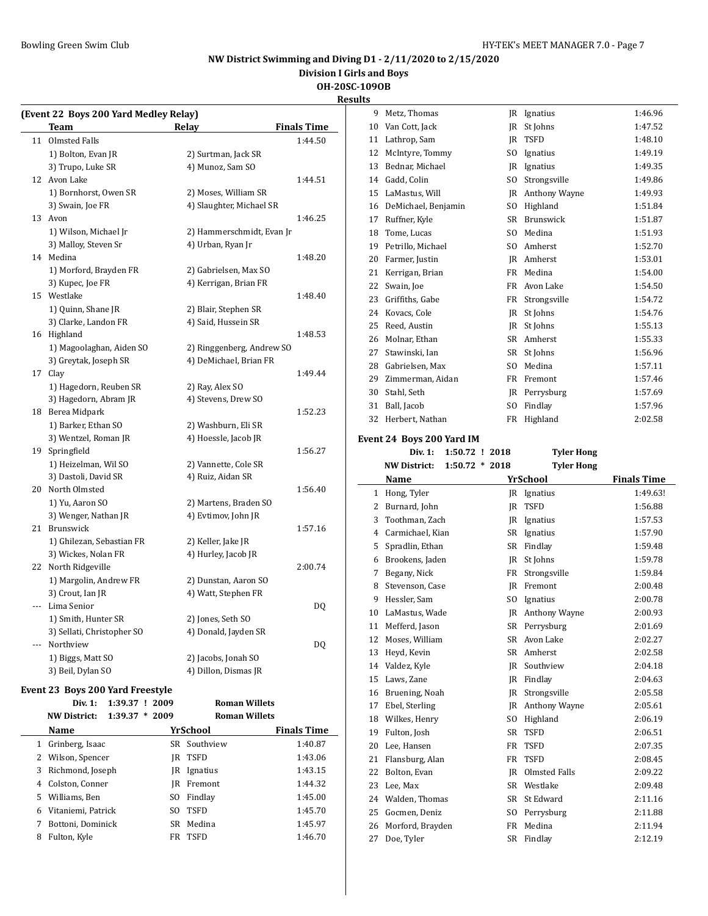## **NW District Swimming and Diving D1 - 2/11/2020 to 2/15/2020**

**Division I Girls and Boys**

# **OH-20SC-109OB**

**Results**

|       | (Event 22 Boys 200 Yard Medley Relay) |                           |                    |  |  |  |
|-------|---------------------------------------|---------------------------|--------------------|--|--|--|
|       | Team                                  | <b>Relay</b>              | <b>Finals Time</b> |  |  |  |
| 11    | Olmsted Falls                         |                           | 1:44.50            |  |  |  |
|       | 1) Bolton, Evan JR                    | 2) Surtman, Jack SR       |                    |  |  |  |
|       | 3) Trupo, Luke SR                     | 4) Munoz, Sam SO          |                    |  |  |  |
|       | 12 Avon Lake                          |                           | 1:44.51            |  |  |  |
|       | 1) Bornhorst, Owen SR                 | 2) Moses, William SR      |                    |  |  |  |
|       | 3) Swain, Joe FR                      | 4) Slaughter, Michael SR  |                    |  |  |  |
|       | 13 Avon                               |                           | 1:46.25            |  |  |  |
|       | 1) Wilson, Michael Jr                 | 2) Hammerschmidt, Evan Jr |                    |  |  |  |
|       | 3) Malloy, Steven Sr                  | 4) Urban, Ryan Jr         |                    |  |  |  |
|       | 14 Medina                             |                           | 1:48.20            |  |  |  |
|       | 1) Morford, Brayden FR                | 2) Gabrielsen, Max SO     |                    |  |  |  |
|       | 3) Kupec, Joe FR                      | 4) Kerrigan, Brian FR     |                    |  |  |  |
|       | 15 Westlake                           |                           | 1:48.40            |  |  |  |
|       | 1) Quinn, Shane JR                    | 2) Blair, Stephen SR      |                    |  |  |  |
|       | 3) Clarke, Landon FR                  | 4) Said, Hussein SR       |                    |  |  |  |
|       | 16 Highland                           |                           | 1:48.53            |  |  |  |
|       | 1) Magoolaghan, Aiden SO              | 2) Ringgenberg, Andrew SO |                    |  |  |  |
|       | 3) Greytak, Joseph SR                 | 4) DeMichael, Brian FR    |                    |  |  |  |
|       | 17 Clay                               |                           | 1:49.44            |  |  |  |
|       | 1) Hagedorn, Reuben SR                | 2) Ray, Alex SO           |                    |  |  |  |
|       | 3) Hagedorn, Abram JR                 | 4) Stevens, Drew SO       |                    |  |  |  |
|       | 18 Berea Midpark                      |                           | 1:52.23            |  |  |  |
|       | 1) Barker, Ethan SO                   | 2) Washburn, Eli SR       |                    |  |  |  |
|       | 3) Wentzel, Roman JR                  | 4) Hoessle, Jacob JR      |                    |  |  |  |
|       | 19 Springfield                        |                           | 1:56.27            |  |  |  |
|       | 1) Heizelman, Wil SO                  | 2) Vannette, Cole SR      |                    |  |  |  |
|       | 3) Dastoli, David SR                  | 4) Ruiz, Aidan SR         |                    |  |  |  |
|       | 20 North Olmsted                      |                           | 1:56.40            |  |  |  |
|       | 1) Yu, Aaron SO                       | 2) Martens, Braden SO     |                    |  |  |  |
|       | 3) Wenger, Nathan JR                  | 4) Evtimov, John JR       |                    |  |  |  |
| 21    | Brunswick                             |                           | 1:57.16            |  |  |  |
|       | 1) Ghilezan, Sebastian FR             | 2) Keller, Jake JR        |                    |  |  |  |
|       | 3) Wickes, Nolan FR                   | 4) Hurley, Jacob JR       |                    |  |  |  |
|       | 22 North Ridgeville                   |                           | 2:00.74            |  |  |  |
|       | 1) Margolin, Andrew FR                | 2) Dunstan, Aaron SO      |                    |  |  |  |
|       | 3) Crout, Ian JR                      | 4) Watt, Stephen FR       |                    |  |  |  |
| $---$ | Lima Senior                           |                           | DQ                 |  |  |  |
|       | 1) Smith, Hunter SR                   | 2) Jones, Seth SO         |                    |  |  |  |
|       | 3) Sellati, Christopher SO            | 4) Donald, Jayden SR      |                    |  |  |  |
|       | Northview                             |                           | DQ                 |  |  |  |
|       | 1) Biggs, Matt SO                     | 2) Jacobs, Jonah SO       |                    |  |  |  |
|       | 3) Beil, Dylan SO                     | 4) Dillon, Dismas JR      |                    |  |  |  |
|       | Event 23 Boys 200 Yard Freestyle      |                           |                    |  |  |  |
|       | Div. 1:<br>1:39.37 ! 2009             | <b>Roman Willets</b>      |                    |  |  |  |
|       |                                       |                           |                    |  |  |  |

|   | 1:39.37<br><b>NW District:</b> | $*2009$ | <b>Roman Willets</b> |                    |
|---|--------------------------------|---------|----------------------|--------------------|
|   | Name                           |         | YrSchool             | <b>Finals Time</b> |
| 1 | Grinberg, Isaac                |         | SR Southview         | 1:40.87            |
| 2 | Wilson, Spencer                | IR      | TSFD                 | 1:43.06            |
| 3 | Richmond, Joseph               | IR      | Ignatius             | 1:43.15            |
| 4 | Colston, Conner                | IR      | Fremont              | 1:44.32            |
| 5 | Williams, Ben                  | SO.     | Findlay              | 1:45.00            |
| 6 | Vitaniemi, Patrick             | SO.     | TSFD                 | 1:45.70            |
| 7 | Bottoni, Dominick              | SR.     | Medina               | 1:45.97            |
| 8 | Fulton, Kyle                   | FR      | TSFD                 | 1:46.70            |
|   |                                |         |                      |                    |

| 9        | Metz, Thomas                            | JR       | Ignatius                | 1:46.96            |
|----------|-----------------------------------------|----------|-------------------------|--------------------|
| 10       | Van Cott, Jack                          | JR       | St Johns                | 1:47.52            |
| 11       | Lathrop, Sam                            | JR       | <b>TSFD</b>             | 1:48.10            |
| 12       | McIntyre, Tommy                         | SO.      | Ignatius                | 1:49.19            |
| 13       | Bednar, Michael                         | JR       | Ignatius                | 1:49.35            |
|          | 14 Gadd, Colin                          | SO.      | Strongsville            | 1:49.86            |
|          | 15 LaMastus, Will                       |          | JR Anthony Wayne        | 1:49.93            |
| 16       | DeMichael, Benjamin                     | SO.      | Highland                | 1:51.84            |
| 17       | Ruffner, Kyle                           | SR.      | Brunswick               | 1:51.87            |
| 18       | Tome, Lucas                             | SO.      | Medina                  | 1:51.93            |
| 19       | Petrillo, Michael                       | SO.      | Amherst                 | 1:52.70            |
| 20       | Farmer, Justin                          |          | JR Amherst              | 1:53.01            |
| 21       | Kerrigan, Brian                         | FR       | Medina                  | 1:54.00            |
| 22       | Swain, Joe                              | FR       | Avon Lake               | 1:54.50            |
| 23       | Griffiths, Gabe                         | FR       | Strongsville            | 1:54.72            |
| 24       | Kovacs, Cole                            | JR       | St Johns                | 1:54.76            |
| 25       | Reed, Austin                            | JR       | St Johns                | 1:55.13            |
| 26       | Molnar, Ethan                           | SR       | Amherst                 | 1:55.33            |
| 27       | Stawinski, Ian                          | SR       | St Johns                | 1:56.96            |
| 28       | Gabrielsen, Max                         | SO.      | Medina                  | 1:57.11            |
| 29       | Zimmerman, Aidan                        | FR       | Fremont                 | 1:57.46            |
|          | 30 Stahl, Seth                          | JR.      | Perrysburg              | 1:57.69            |
| 31       | Ball, Jacob                             | SO.      | Findlay                 | 1:57.96            |
| 32       | Herbert, Nathan                         | FR       | Highland                | 2:02.58            |
|          |                                         |          |                         |                    |
|          | Event 24 Boys 200 Yard IM               |          |                         |                    |
|          | Div. 1:<br>1:50.72 ! 2018               |          | <b>Tyler Hong</b>       |                    |
|          |                                         |          |                         |                    |
|          | $1:50.72 * 2018$<br><b>NW District:</b> |          | <b>Tyler Hong</b>       |                    |
|          | Name                                    |          | YrSchool                | <b>Finals Time</b> |
| 1        | Hong, Tyler                             | JR       | Ignatius                | 1:49.63!           |
| 2        | Burnard, John                           | JR       | <b>TSFD</b>             | 1:56.88            |
| 3        | Toothman, Zach                          | JR       | Ignatius                | 1:57.53            |
| 4        | Carmichael, Kian                        | SR       | Ignatius                | 1:57.90            |
| 5        | Spradlin, Ethan                         | SR       | Findlay                 | 1:59.48            |
| 6        | Brookens, Jaden                         | JR       | St Johns                | 1:59.78            |
| 7        | Begany, Nick                            | FR       | Strongsville            | 1:59.84            |
| 8        | Stevenson, Case                         |          | JR Fremont              | 2:00.48            |
| 9        | Hessler, Sam                            | SO.      | Ignatius                | 2:00.78            |
| 10       | LaMastus, Wade                          | JR       | Anthony Wayne           | 2:00.93            |
| 11       | Mefferd, Jason                          |          | SR Perrysburg           | 2:01.69            |
| 12       | Moses, William                          |          | SR Avon Lake            | 2:02.27            |
| 13       | Heyd, Kevin                             | SR       | Amherst                 | 2:02.58            |
| 14       | Valdez, Kyle                            | JR       | Southview               | 2:04.18            |
| 15       | Laws, Zane                              | JR       | Findlay                 | 2:04.63            |
| 16       | Bruening, Noah                          | JR       | Strongsville            | 2:05.58            |
| 17       | Ebel, Sterling                          | IR       | Anthony Wayne           | 2:05.61            |
| 18       | Wilkes, Henry                           | SO.      | Highland                | 2:06.19            |
| 19       | Fulton, Josh                            | SR       | <b>TSFD</b>             | 2:06.51            |
| 20       | Lee, Hansen                             | FR       | TSFD                    | 2:07.35            |
| 21       | Flansburg, Alan                         | FR       | TSFD                    | 2:08.45            |
| 22       | Bolton, Evan                            | JR       | Olmsted Falls           | 2:09.22            |
| 23       | Lee, Max                                | SR       | Westlake                | 2:09.48            |
| 24<br>25 | Walden, Thomas<br>Gocmen, Deniz         | SR<br>SO | St Edward<br>Perrysburg | 2:11.16<br>2:11.88 |

 Morford, Brayden FR Medina 2:11.94 27 Doe, Tyler SR Findlay 2:12.19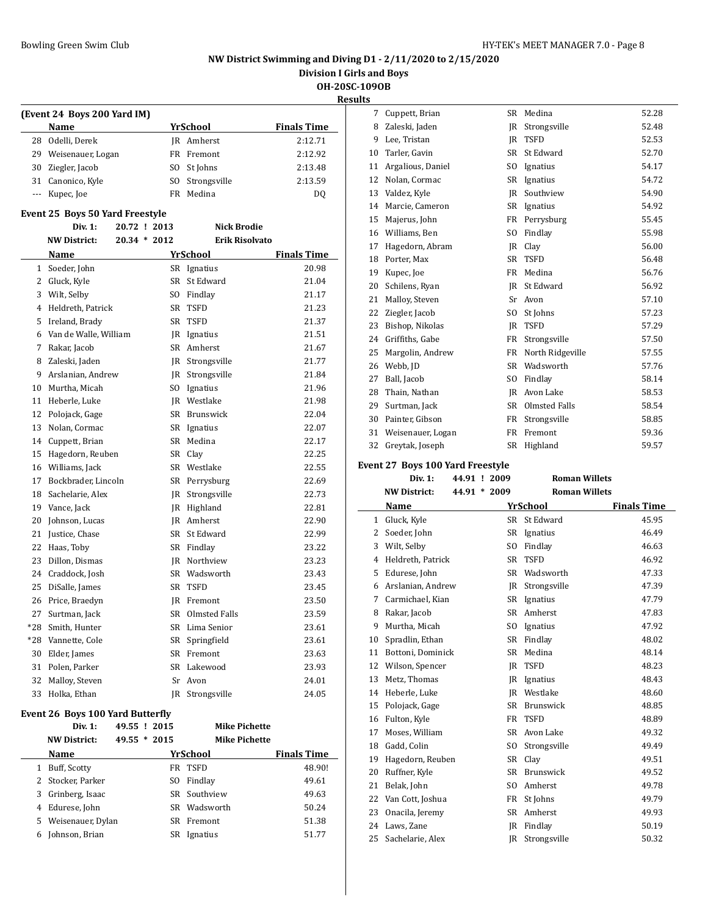## **NW District Swimming and Diving D1 - 2/11/2020 to 2/15/2020**

**Division I Girls and Boys**

**OH-20SC-109OB**

**Results**

|    |                             |     |              | R                  |  |  |  |
|----|-----------------------------|-----|--------------|--------------------|--|--|--|
|    | (Event 24 Boys 200 Yard IM) |     |              |                    |  |  |  |
|    | Name                        |     | YrSchool     | <b>Finals Time</b> |  |  |  |
|    | 28 Odelli, Derek            |     | IR Amherst   | 2:12.71            |  |  |  |
| 29 | Weisenauer, Logan           | FR  | Fremont      | 2:12.92            |  |  |  |
| 30 | Ziegler, Jacob              | SO. | St Johns     | 2:13.48            |  |  |  |
| 31 | Canonico, Kyle              | SO. | Strongsville | 2:13.59            |  |  |  |
|    | Kupec, Joe                  | FR  | Medina       | D <sub>0</sub>     |  |  |  |

## **Event 25 Boys 50 Yard Freestyle**

|              | Div. 1:               | 20.72 ! 2013   | <b>Nick Brodie</b>    |                    |
|--------------|-----------------------|----------------|-----------------------|--------------------|
|              | <b>NW District:</b>   | $20.34 * 2012$ | <b>Erik Risolvato</b> |                    |
|              | Name                  |                | <b>YrSchool</b>       | <b>Finals Time</b> |
| $\mathbf{1}$ | Soeder, John          |                | SR Ignatius           | 20.98              |
| 2            | Gluck, Kyle           | <b>SR</b>      | St Edward             | 21.04              |
| 3            | Wilt, Selby           |                | SO Findlay            | 21.17              |
| 4            | Heldreth, Patrick     | SR             | <b>TSFD</b>           | 21.23              |
| 5            | Ireland, Brady        | SR             | <b>TSFD</b>           | 21.37              |
| 6            | Van de Walle, William | IR             | Ignatius              | 21.51              |
| 7            | Rakar, Jacob          |                | SR Amherst            | 21.67              |
| 8            | Zaleski, Jaden        | IR             | Strongsville          | 21.77              |
| 9            | Arslanian, Andrew     | JR             | Strongsville          | 21.84              |
| 10           | Murtha, Micah         | SO.            | Ignatius              | 21.96              |
| 11           | Heberle, Luke         |                | JR Westlake           | 21.98              |
| 12           | Polojack, Gage        |                | SR Brunswick          | 22.04              |
| 13           | Nolan, Cormac         |                | SR Ignatius           | 22.07              |
| 14           | Cuppett, Brian        | SR             | Medina                | 22.17              |
| 15           | Hagedorn, Reuben      | SR -           | Clay                  | 22.25              |
| 16           | Williams, Jack        |                | SR Westlake           | 22.55              |
| 17           | Bockbrader. Lincoln   |                | SR Perrysburg         | 22.69              |
| 18           | Sachelarie, Alex      | IR             | Strongsville          | 22.73              |
| 19           | Vance, Jack           |                | JR Highland           | 22.81              |
| 20           | Johnson, Lucas        |                | <b>IR</b> Amherst     | 22.90              |
| 21           | Justice, Chase        | SR             | St Edward             | 22.99              |
| 22           | Haas, Toby            |                | SR Findlay            | 23.22              |
| 23           | Dillon, Dismas        | IR             | Northview             | 23.23              |
| 24           | Craddock, Josh        | SR             | Wadsworth             | 23.43              |
| 25           | DiSalle, James        | SR             | <b>TSFD</b>           | 23.45              |
| 26           | Price, Braedyn        |                | IR Fremont            | 23.50              |
| 27           | Surtman, Jack         | SR             | Olmsted Falls         | 23.59              |
| $*28$        | Smith, Hunter         |                | SR Lima Senior        | 23.61              |
| *28          | Vannette, Cole        | SR             | Springfield           | 23.61              |
| 30           | Elder, James          | <b>SR</b>      | Fremont               | 23.63              |
| 31           | Polen, Parker         |                | SR Lakewood           | 23.93              |
| 32           | Malloy, Steven        | Sr             | Avon                  | 24.01              |
| 33           | Holka, Ethan          | IR             | Strongsville          | 24.05              |

#### **Event 26 Boys 100 Yard Butterfly**

|   | Div. 1:             | 49.55 ! 2015   |     | <b>Mike Pichette</b> |                    |
|---|---------------------|----------------|-----|----------------------|--------------------|
|   | <b>NW District:</b> | $49.55 * 2015$ |     | <b>Mike Pichette</b> |                    |
|   | Name                |                |     | YrSchool             | <b>Finals Time</b> |
| 1 | Buff, Scotty        |                | FR  | TSFD                 | 48.90!             |
|   | 2 Stocker, Parker   |                | SO. | Findlay              | 49.61              |
| 3 | Grinberg, Isaac     |                |     | SR Southview         | 49.63              |
|   | 4 Edurese, John     |                | SR  | Wadsworth            | 50.24              |
|   | 5 Weisenauer, Dylan |                | SR. | Fremont              | 51.38              |
| 6 | Johnson, Brian      |                | SR  | Ignatius             | 51.77              |

| 7  | Cuppett, Brian    | SR             | Medina           | 52.28 |
|----|-------------------|----------------|------------------|-------|
| 8  | Zaleski, Jaden    | IR             | Strongsville     | 52.48 |
| 9  | Lee, Tristan      | IR             | <b>TSFD</b>      | 52.53 |
| 10 | Tarler, Gavin     | <b>SR</b>      | St Edward        | 52.70 |
| 11 | Argalious, Daniel | SO.            | Ignatius         | 54.17 |
| 12 | Nolan, Cormac     | SR             | Ignatius         | 54.72 |
| 13 | Valdez, Kyle      | IR             | Southview        | 54.90 |
| 14 | Marcie, Cameron   | SR             | Ignatius         | 54.92 |
| 15 | Majerus, John     | FR             | Perrysburg       | 55.45 |
| 16 | Williams, Ben     | S <sub>O</sub> | Findlay          | 55.98 |
| 17 | Hagedorn, Abram   | IR             | Clay             | 56.00 |
| 18 | Porter, Max       | SR             | <b>TSFD</b>      | 56.48 |
| 19 | Kupec, Joe        | FR             | Medina           | 56.76 |
| 20 | Schilens, Ryan    | IR             | St Edward        | 56.92 |
| 21 | Malloy, Steven    | Sr             | Avon             | 57.10 |
| 22 | Ziegler, Jacob    | SO.            | St Johns         | 57.23 |
| 23 | Bishop, Nikolas   | IR             | <b>TSFD</b>      | 57.29 |
| 24 | Griffiths, Gabe   | FR             | Strongsville     | 57.50 |
| 25 | Margolin, Andrew  | FR             | North Ridgeville | 57.55 |
| 26 | Webb, JD          | <b>SR</b>      | Wadsworth        | 57.76 |
| 27 | Ball, Jacob       | SO.            | Findlay          | 58.14 |
| 28 | Thain, Nathan     | <b>IR</b>      | Avon Lake        | 58.53 |
| 29 | Surtman, Jack     | SR.            | Olmsted Falls    | 58.54 |
| 30 | Painter, Gibson   | FR             | Strongsville     | 58.85 |
| 31 | Weisenauer, Logan | <b>FR</b>      | Fremont          | 59.36 |
| 32 | Greytak, Joseph   | SR             | Highland         | 59.57 |

## **Event 27 Boys 100 Yard Freestyle**

|    | Div. 1:             |  | 44.91 ! 2009   | <b>Roman Willets</b> |                    |
|----|---------------------|--|----------------|----------------------|--------------------|
|    | <b>NW District:</b> |  | 44.91 * 2009   | <b>Roman Willets</b> |                    |
|    | Name                |  |                | <b>YrSchool</b>      | <b>Finals Time</b> |
| 1  | Gluck, Kyle         |  | <b>SR</b>      | St Edward            | 45.95              |
| 2  | Soeder, John        |  | <b>SR</b>      | Ignatius             | 46.49              |
| 3  | Wilt, Selby         |  | SO.            | Findlay              | 46.63              |
| 4  | Heldreth, Patrick   |  | <b>SR</b>      | <b>TSFD</b>          | 46.92              |
| 5  | Edurese, John       |  | <b>SR</b>      | Wadsworth            | 47.33              |
| 6  | Arslanian, Andrew   |  | IR             | Strongsville         | 47.39              |
| 7  | Carmichael, Kian    |  | SR             | Ignatius             | 47.79              |
| 8  | Rakar, Jacob        |  | <b>SR</b>      | Amherst              | 47.83              |
| 9  | Murtha, Micah       |  | SO.            | Ignatius             | 47.92              |
| 10 | Spradlin, Ethan     |  | SR             | Findlay              | 48.02              |
| 11 | Bottoni, Dominick   |  | <b>SR</b>      | Medina               | 48.14              |
| 12 | Wilson, Spencer     |  | IR             | <b>TSFD</b>          | 48.23              |
| 13 | Metz, Thomas        |  | IR             | Ignatius             | 48.43              |
| 14 | Heberle, Luke       |  | <b>IR</b>      | Westlake             | 48.60              |
| 15 | Polojack, Gage      |  | <b>SR</b>      | <b>Brunswick</b>     | 48.85              |
| 16 | Fulton, Kyle        |  | FR             | <b>TSFD</b>          | 48.89              |
| 17 | Moses, William      |  | <b>SR</b>      | Avon Lake            | 49.32              |
| 18 | Gadd, Colin         |  | SO.            | Strongsville         | 49.49              |
| 19 | Hagedorn, Reuben    |  | SR             | Clay                 | 49.51              |
| 20 | Ruffner, Kyle       |  | <b>SR</b>      | Brunswick            | 49.52              |
| 21 | Belak, John         |  | S <sub>O</sub> | Amherst              | 49.78              |
| 22 | Van Cott, Joshua    |  | FR             | St Johns             | 49.79              |
| 23 | Onacila, Jeremy     |  | <b>SR</b>      | Amherst              | 49.93              |
| 24 | Laws, Zane          |  | IR             | Findlay              | 50.19              |
| 25 | Sachelarie, Alex    |  | IR             | Strongsville         | 50.32              |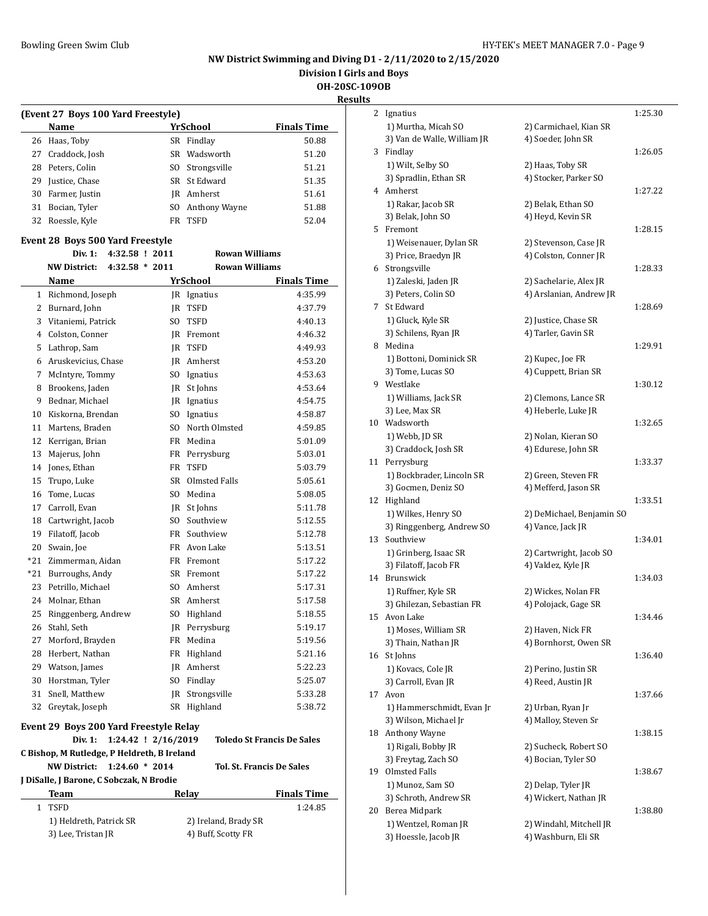**Division I Girls and Boys**

**OH-20SC-109OB**

**Results**

|     | (Event 27 Boys 100 Yard Freestyle)            |                     |                       |                                   |
|-----|-----------------------------------------------|---------------------|-----------------------|-----------------------------------|
|     | Name                                          |                     | <b>YrSchool</b>       | <b>Finals Time</b>                |
| 26  | Haas, Toby                                    |                     | SR Findlay            | 50.88                             |
| 27  | Craddock, Josh                                | SR                  | Wadsworth             | 51.20                             |
|     | 28 Peters, Colin                              |                     | SO Strongsville       | 51.21                             |
| 29  | Justice, Chase                                |                     | SR St Edward          | 51.35                             |
| 30  | Farmer, Justin                                |                     | <b>IR</b> Amherst     | 51.61                             |
|     | 31 Bocian, Tyler                              |                     | SO Anthony Wayne      | 51.88                             |
| 32  | Roessle, Kyle                                 |                     | FR TSFD               | 52.04                             |
|     | Event 28 Boys 500 Yard Freestyle              |                     |                       |                                   |
|     | Div. 1:<br>4:32.58 ! 2011                     |                     | <b>Rowan Williams</b> |                                   |
|     | <b>NW District:</b><br>$4:32.58 * 2011$       |                     | <b>Rowan Williams</b> |                                   |
|     | Name                                          |                     | YrSchool              | <b>Finals Time</b>                |
|     | 1 Richmond, Joseph                            |                     | JR Ignatius           | 4:35.99                           |
|     | 2 Burnard, John                               |                     | IR TSFD               | 4:37.79                           |
|     | 3 Vitaniemi, Patrick                          | SO                  | TSFD                  | 4:40.13                           |
|     | 4 Colston, Conner                             |                     | IR Fremont            | 4:46.32                           |
| 5.  | Lathrop, Sam                                  |                     | IR TSFD               | 4:49.93                           |
| 6   | Aruskevicius, Chase                           |                     | JR Amherst            | 4:53.20                           |
| 7   | McIntyre, Tommy                               |                     | SO Ignatius           | 4:53.63                           |
| 8   | Brookens, Jaden                               |                     | JR St Johns           | 4:53.64                           |
| 9   | Bednar, Michael                               |                     | JR Ignatius           | 4:54.75                           |
| 10  | Kiskorna, Brendan                             |                     | SO Ignatius           | 4:58.87                           |
| 11  | Martens, Braden                               |                     | SO North Olmsted      | 4:59.85                           |
| 12  | Kerrigan, Brian                               |                     | FR Medina             | 5:01.09                           |
| 13  | Majerus, John                                 |                     | FR Perrysburg         | 5:03.01                           |
| 14  | Jones, Ethan                                  |                     | FR TSFD               | 5:03.79                           |
| 15  | Trupo, Luke                                   |                     | SR Olmsted Falls      | 5:05.61                           |
| 16  | Tome, Lucas                                   |                     | SO Medina             | 5:08.05                           |
| 17  | Carroll, Evan                                 |                     | JR St Johns           | 5:11.78                           |
| 18  | Cartwright, Jacob                             |                     | SO Southview          | 5:12.55                           |
| 19  | Filatoff, Jacob                               |                     | FR Southview          | 5:12.78                           |
| 20  | Swain, Joe                                    |                     | FR Avon Lake          | 5:13.51                           |
|     | *21 Zimmerman, Aidan                          |                     | FR Fremont            | 5:17.22                           |
| *21 | Burroughs, Andy                               |                     | SR Fremont            | 5:17.22                           |
| 23  | Petrillo, Michael                             |                     | SO Amherst            | 5:17.31                           |
| 24  | Molnar, Ethan                                 |                     | SR Amherst            | 5:17.58                           |
| 25  | Ringgenberg, Andrew                           | SO.                 | Highland              | 5:18.55                           |
| 26  | Stahl, Seth                                   | JR                  | Perrysburg            | 5:19.17                           |
| 27  | Morford, Brayden                              | FR                  | Medina                | 5:19.56                           |
| 28  | Herbert, Nathan                               |                     | FR Highland           | 5:21.16                           |
| 29  | Watson, James                                 |                     | JR Amherst            | 5:22.23                           |
| 30  | Horstman, Tyler                               |                     | SO Findlay            | 5:25.07                           |
| 31  | Snell, Matthew                                |                     | JR Strongsville       | 5:33.28                           |
| 32  | Greytak, Joseph                               |                     | SR Highland           | 5:38.72                           |
|     |                                               |                     |                       |                                   |
|     | <b>Event 29 Boys 200 Yard Freestyle Relay</b> |                     |                       |                                   |
|     | Div. 1:                                       | 1:24.42 ! 2/16/2019 |                       | <b>Toledo St Francis De Sales</b> |
|     | C Bishop, M Rutledge, P Heldreth, B Ireland   |                     |                       |                                   |
|     | <b>NW District:</b><br>$1:24.60 * 2014$       |                     |                       | <b>Tol. St. Francis De Sales</b>  |
|     | J DiSalle, J Barone, C Sobczak, N Brodie      |                     |                       |                                   |
|     | Team                                          |                     | Relay                 | <b>Finals Time</b>                |
| 1   | <b>TSFD</b>                                   |                     |                       | 1:24.85                           |
|     | 1) Heldreth, Patrick SR                       |                     | 2) Ireland, Brady SR  |                                   |
|     | 3) Lee, Tristan JR                            |                     | 4) Buff, Scotty FR    |                                   |

| 2  | Ignatius                         |                                                   | 1:25.30 |
|----|----------------------------------|---------------------------------------------------|---------|
|    | 1) Murtha, Micah SO              | 2) Carmichael, Kian SR                            |         |
|    | 3) Van de Walle, William JR      | 4) Soeder, John SR                                |         |
| 3  | Findlay                          |                                                   | 1:26.05 |
|    | 1) Wilt, Selby SO                | 2) Haas, Toby SR                                  |         |
|    | 3) Spradlin, Ethan SR            | 4) Stocker, Parker SO                             |         |
|    | 4 Amherst                        |                                                   | 1:27.22 |
|    | 1) Rakar, Jacob SR               | 2) Belak, Ethan SO                                |         |
|    | 3) Belak, John SO                | 4) Heyd, Kevin SR                                 |         |
| 5. | Fremont                          |                                                   | 1:28.15 |
|    | 1) Weisenauer, Dylan SR          | 2) Stevenson, Case JR                             |         |
|    | 3) Price, Braedyn JR             | 4) Colston, Conner JR                             |         |
| 6  | Strongsville                     |                                                   | 1:28.33 |
|    |                                  |                                                   |         |
|    | 1) Zaleski, Jaden JR             | 2) Sachelarie, Alex JR<br>4) Arslanian, Andrew JR |         |
|    | 3) Peters, Colin SO<br>St Edward |                                                   |         |
| 7  |                                  |                                                   | 1:28.69 |
|    | 1) Gluck, Kyle SR                | 2) Justice, Chase SR                              |         |
|    | 3) Schilens, Ryan JR             | 4) Tarler, Gavin SR                               |         |
| 8  | Medina                           |                                                   | 1:29.91 |
|    | 1) Bottoni, Dominick SR          | 2) Kupec, Joe FR                                  |         |
|    | 3) Tome, Lucas SO                | 4) Cuppett, Brian SR                              |         |
| 9  | Westlake                         |                                                   | 1:30.12 |
|    | 1) Williams, Jack SR             | 2) Clemons, Lance SR                              |         |
|    | 3) Lee, Max SR                   | 4) Heberle, Luke JR                               |         |
| 10 | Wadsworth                        |                                                   | 1:32.65 |
|    | 1) Webb, JD SR                   | 2) Nolan, Kieran SO                               |         |
|    | 3) Craddock, Josh SR             | 4) Edurese, John SR                               |         |
| 11 | Perrysburg                       |                                                   | 1:33.37 |
|    | 1) Bockbrader, Lincoln SR        | 2) Green, Steven FR                               |         |
|    | 3) Gocmen, Deniz SO              | 4) Mefferd, Jason SR                              |         |
| 12 | Highland                         |                                                   | 1:33.51 |
|    | 1) Wilkes, Henry SO              | 2) DeMichael, Benjamin SO                         |         |
|    | 3) Ringgenberg, Andrew SO        | 4) Vance, Jack JR                                 |         |
| 13 | Southview                        |                                                   | 1:34.01 |
|    | 1) Grinberg, Isaac SR            | 2) Cartwright, Jacob SO                           |         |
|    | 3) Filatoff, Jacob FR            | 4) Valdez, Kyle JR                                |         |
| 14 | Brunswick                        |                                                   | 1:34.03 |
|    | 1) Ruffner, Kyle SR              | 2) Wickes, Nolan FR                               |         |
|    | 3) Ghilezan, Sebastian FR        | 4) Polojack, Gage SR                              |         |
|    | 15 Avon Lake                     |                                                   | 1:34.46 |
|    | 1) Moses, William SR             | 2) Haven, Nick FR                                 |         |
|    | 3) Thain, Nathan JR              | 4) Bornhorst, Owen SR                             |         |
| 16 | St Johns                         |                                                   | 1:36.40 |
|    | 1) Kovacs, Cole JR               | 2) Perino, Justin SR                              |         |
|    | 3) Carroll, Evan JR              | 4) Reed, Austin JR                                |         |
| 17 | Avon                             |                                                   | 1:37.66 |
|    | 1) Hammerschmidt, Evan Jr        | 2) Urban, Ryan Jr                                 |         |
|    | 3) Wilson, Michael Jr            | 4) Malloy, Steven Sr                              |         |
| 18 | Anthony Wayne                    |                                                   | 1:38.15 |
|    | 1) Rigali, Bobby JR              | 2) Sucheck, Robert SO                             |         |
|    | 3) Freytag, Zach SO              | 4) Bocian, Tyler SO                               |         |
| 19 | Olmsted Falls                    |                                                   | 1:38.67 |
|    | 1) Munoz, Sam SO                 | 2) Delap, Tyler JR                                |         |
|    | 3) Schroth, Andrew SR            | 4) Wickert, Nathan JR                             |         |
| 20 | Berea Midpark                    |                                                   | 1:38.80 |
|    | 1) Wentzel, Roman JR             | 2) Windahl, Mitchell JR                           |         |
|    | 3) Hoessle, Jacob JR             | 4) Washburn, Eli SR                               |         |
|    |                                  |                                                   |         |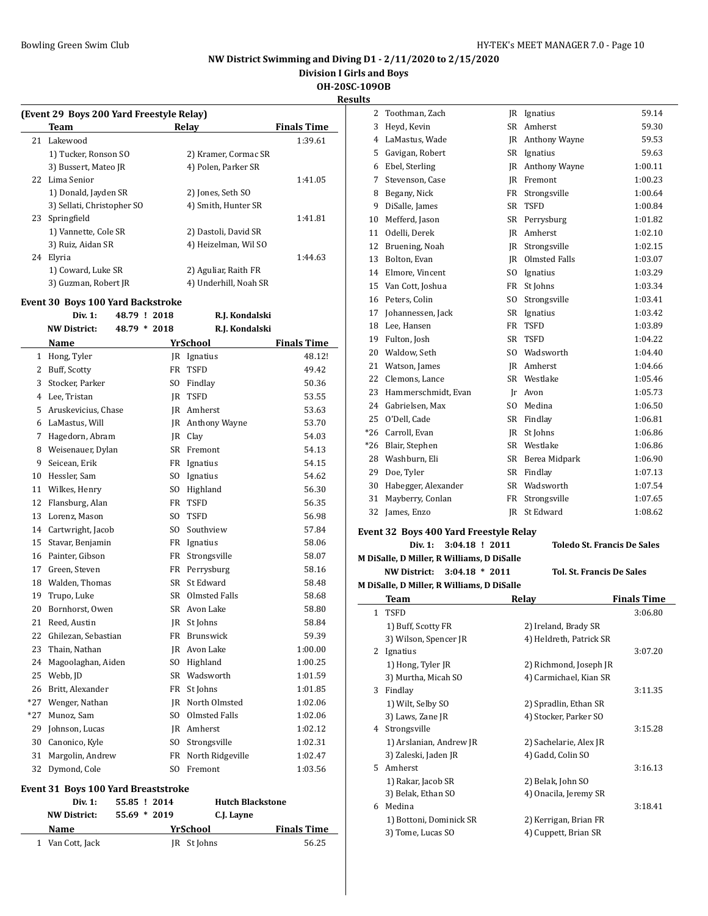## **NW District Swimming and Diving D1 - 2/11/2020 to 2/15/2020**

**Division I Girls and Boys**

**OH-20SC-109OB**

**Results**

| (Event 29 Boys 200 Yard Freestyle Relay) |                       |                    |  |  |
|------------------------------------------|-----------------------|--------------------|--|--|
| Team                                     | Relav                 | <b>Finals Time</b> |  |  |
| Lakewood<br>21                           |                       | 1:39.61            |  |  |
| 1) Tucker, Ronson SO                     | 2) Kramer, Cormac SR  |                    |  |  |
| 3) Bussert, Mateo JR                     | 4) Polen, Parker SR   |                    |  |  |
| Lima Senior<br>22.                       |                       | 1:41.05            |  |  |
| 1) Donald, Jayden SR                     | 2) Jones, Seth SO     |                    |  |  |
| 3) Sellati, Christopher SO               | 4) Smith, Hunter SR   |                    |  |  |
| 23 Springfield                           |                       | 1:41.81            |  |  |
| 1) Vannette, Cole SR                     | 2) Dastoli, David SR  |                    |  |  |
| 3) Ruiz, Aidan SR                        | 4) Heizelman, Wil SO  |                    |  |  |
| Elyria                                   |                       | 1:44.63            |  |  |
| 1) Coward, Luke SR                       | 2) Aguliar, Raith FR  |                    |  |  |
| 3) Guzman, Robert JR                     | 4) Underhill, Noah SR |                    |  |  |
|                                          |                       |                    |  |  |

#### **Event 30 Boys 100 Yard Backstroke**

|                | Div. 1:             | 48.79 ! 2018 |           | R.J. Kondalski    |                    |
|----------------|---------------------|--------------|-----------|-------------------|--------------------|
|                | <b>NW District:</b> | 48.79 * 2018 |           | R.J. Kondalski    |                    |
|                | Name                |              |           | YrSchool          | <b>Finals Time</b> |
| $\mathbf{1}$   | Hong, Tyler         |              |           | JR Ignatius       | 48.12!             |
| 2              | Buff, Scotty        |              | <b>FR</b> | <b>TSFD</b>       | 49.42              |
| 3              | Stocker, Parker     |              | SO.       | Findlay           | 50.36              |
| 4              | Lee, Tristan        |              | IR        | <b>TSFD</b>       | 53.55              |
| 5              | Aruskevicius, Chase |              |           | <b>IR</b> Amherst | 53.63              |
| 6              | LaMastus, Will      |              | IR        | Anthony Wayne     | 53.70              |
| $\overline{7}$ | Hagedorn, Abram     |              | IR        | Clay              | 54.03              |
| 8              | Weisenauer, Dylan   |              | SR        | Fremont           | 54.13              |
| 9              | Seicean, Erik       |              |           | FR Ignatius       | 54.15              |
| 10             | Hessler, Sam        |              |           | SO Ignatius       | 54.62              |
| 11             | Wilkes, Henry       |              |           | SO Highland       | 56.30              |
| 12             | Flansburg, Alan     |              | FR        | <b>TSFD</b>       | 56.35              |
| 13             | Lorenz, Mason       |              | SO.       | <b>TSFD</b>       | 56.98              |
| 14             | Cartwright, Jacob   |              | SO.       | Southview         | 57.84              |
| 15             | Stavar, Benjamin    |              | FR        | Ignatius          | 58.06              |
| 16             | Painter, Gibson     |              | FR        | Strongsville      | 58.07              |
| 17             | Green, Steven       |              |           | FR Perrysburg     | 58.16              |
| 18             | Walden, Thomas      |              |           | SR St Edward      | 58.48              |
| 19             | Trupo, Luke         |              |           | SR Olmsted Falls  | 58.68              |
| 20             | Bornhorst, Owen     |              |           | SR Avon Lake      | 58.80              |
| 21             | Reed. Austin        |              | IR        | St Johns          | 58.84              |
| 22             | Ghilezan, Sebastian |              | FR        | <b>Brunswick</b>  | 59.39              |
| 23             | Thain, Nathan       |              |           | JR Avon Lake      | 1:00.00            |
| 24             | Magoolaghan, Aiden  |              | SO        | Highland          | 1:00.25            |
| 25             | Webb, JD            |              | SR        | Wadsworth         | 1:01.59            |
| 26             | Britt, Alexander    |              | FR        | St Johns          | 1:01.85            |
| $*27$          | Wenger, Nathan      |              |           | IR North Olmsted  | 1:02.06            |
| *27            | Munoz, Sam          |              | SO.       | Olmsted Falls     | 1:02.06            |
| 29             | Johnson, Lucas      |              |           | <b>IR</b> Amherst | 1:02.12            |
| 30             | Canonico, Kyle      |              | SO.       | Strongsville      | 1:02.31            |
| 31             | Margolin, Andrew    |              | FR        | North Ridgeville  | 1:02.47            |
| 32             | Dymond, Cole        |              | SO.       | Fremont           | 1:03.56            |

## **Event 31 Boys 100 Yard Breaststroke**

| Div. 1:          | 55.85 ! 2014   | <b>Hutch Blackstone</b> |                    |
|------------------|----------------|-------------------------|--------------------|
| NW District:     | $55.69 * 2019$ | C.J. Layne              |                    |
| Name             | YrSchool       |                         | <b>Finals Time</b> |
| 1 Van Cott, Jack |                | JR St Johns             | 56.25              |

| 2     | Toothman, Zach      |                | JR Ignatius      | 59.14   |
|-------|---------------------|----------------|------------------|---------|
| 3     | Heyd, Kevin         | SR.            | Amherst          | 59.30   |
| 4     | LaMastus, Wade      | IR             | Anthony Wayne    | 59.53   |
| 5     | Gavigan, Robert     | SR             | Ignatius         | 59.63   |
| 6     | Ebel, Sterling      | IR             | Anthony Wayne    | 1:00.11 |
| 7     | Stevenson, Case     | IR             | Fremont          | 1:00.23 |
| 8     | Begany, Nick        | FR             | Strongsville     | 1:00.64 |
| 9     | DiSalle, James      | <b>SR</b>      | <b>TSFD</b>      | 1:00.84 |
| 10    | Mefferd, Jason      | SR             | Perrysburg       | 1:01.82 |
| 11    | Odelli, Derek       | IR             | Amherst          | 1:02.10 |
| 12    | Bruening, Noah      | IR             | Strongsville     | 1:02.15 |
| 13    | Bolton, Evan        | IR             | Olmsted Falls    | 1:03.07 |
| 14    | Elmore, Vincent     | SO.            | Ignatius         | 1:03.29 |
| 15    | Van Cott, Joshua    | FR             | St Johns         | 1:03.34 |
| 16    | Peters, Colin       | SO.            | Strongsville     | 1:03.41 |
| 17    | Johannessen, Jack   | <b>SR</b>      | Ignatius         | 1:03.42 |
| 18    | Lee, Hansen         | FR             | <b>TSFD</b>      | 1:03.89 |
| 19    | Fulton, Josh        | <b>SR</b>      | <b>TSFD</b>      | 1:04.22 |
| 20    | Waldow, Seth        |                | SO Wadsworth     | 1:04.40 |
| 21    | Watson, James       |                | IR Amherst       | 1:04.66 |
| 22    | Clemons, Lance      | <b>SR</b>      | Westlake         | 1:05.46 |
| 23    | Hammerschmidt, Evan | Ir             | Avon             | 1:05.73 |
| 24    | Gabrielsen, Max     | S <sub>O</sub> | Medina           | 1:06.50 |
| 25    | O'Dell, Cade        | SR             | Findlay          | 1:06.81 |
| $*26$ | Carroll, Evan       | IR             | St Johns         | 1:06.86 |
| $*26$ | Blair, Stephen      | <b>SR</b>      | Westlake         | 1:06.86 |
| 28    | Washburn, Eli       |                | SR Berea Midpark | 1:06.90 |
| 29    | Doe, Tyler          | SR             | Findlay          | 1:07.13 |
| 30    | Habegger, Alexander | SR             | Wadsworth        | 1:07.54 |
| 31    | Mayberry, Conlan    | FR             | Strongsville     | 1:07.65 |
| 32    | James, Enzo         | JR             | St Edward        | 1:08.62 |

#### **Event 32 Boys 400 Yard Freestyle Relay**

#### **Div. 1: 3:04.18 ! 2011 Toledo St. Francis De Sales**

**M DiSalle, D Miller, R Williams, D DiSalle NW District: 3:04.18 \* 2011 Tol. St. Francis De Sales**

 $\sim$ 

| <b>M DiSalle, D Miller, R Williams, D DiSalle</b> |                         |                         |                    |  |
|---------------------------------------------------|-------------------------|-------------------------|--------------------|--|
|                                                   | Team                    | Relay                   | <b>Finals Time</b> |  |
| $\mathbf{1}$                                      | <b>TSFD</b>             |                         | 3:06.80            |  |
|                                                   | 1) Buff, Scotty FR      | 2) Ireland, Brady SR    |                    |  |
|                                                   | 3) Wilson, Spencer JR   | 4) Heldreth, Patrick SR |                    |  |
| 2                                                 | Ignatius                |                         | 3:07.20            |  |
|                                                   | 1) Hong, Tyler JR       | 2) Richmond, Joseph JR  |                    |  |
|                                                   | 3) Murtha, Micah SO     | 4) Carmichael, Kian SR  |                    |  |
| 3                                                 | Findlay                 |                         | 3:11.35            |  |
|                                                   | 1) Wilt, Selby SO       | 2) Spradlin, Ethan SR   |                    |  |
|                                                   | 3) Laws, Zane JR        | 4) Stocker, Parker SO   |                    |  |
| 4                                                 | Strongsville            |                         | 3:15.28            |  |
|                                                   | 1) Arslanian, Andrew JR | 2) Sachelarie, Alex JR  |                    |  |
|                                                   | 3) Zaleski, Jaden JR    | 4) Gadd, Colin SO       |                    |  |
| 5.                                                | Amherst                 |                         | 3:16.13            |  |
|                                                   | 1) Rakar, Jacob SR      | 2) Belak, John SO       |                    |  |
|                                                   | 3) Belak, Ethan SO      | 4) Onacila, Jeremy SR   |                    |  |
| 6                                                 | Medina                  |                         | 3:18.41            |  |
|                                                   | 1) Bottoni, Dominick SR | 2) Kerrigan, Brian FR   |                    |  |
|                                                   | 3) Tome, Lucas SO       | 4) Cuppett, Brian SR    |                    |  |